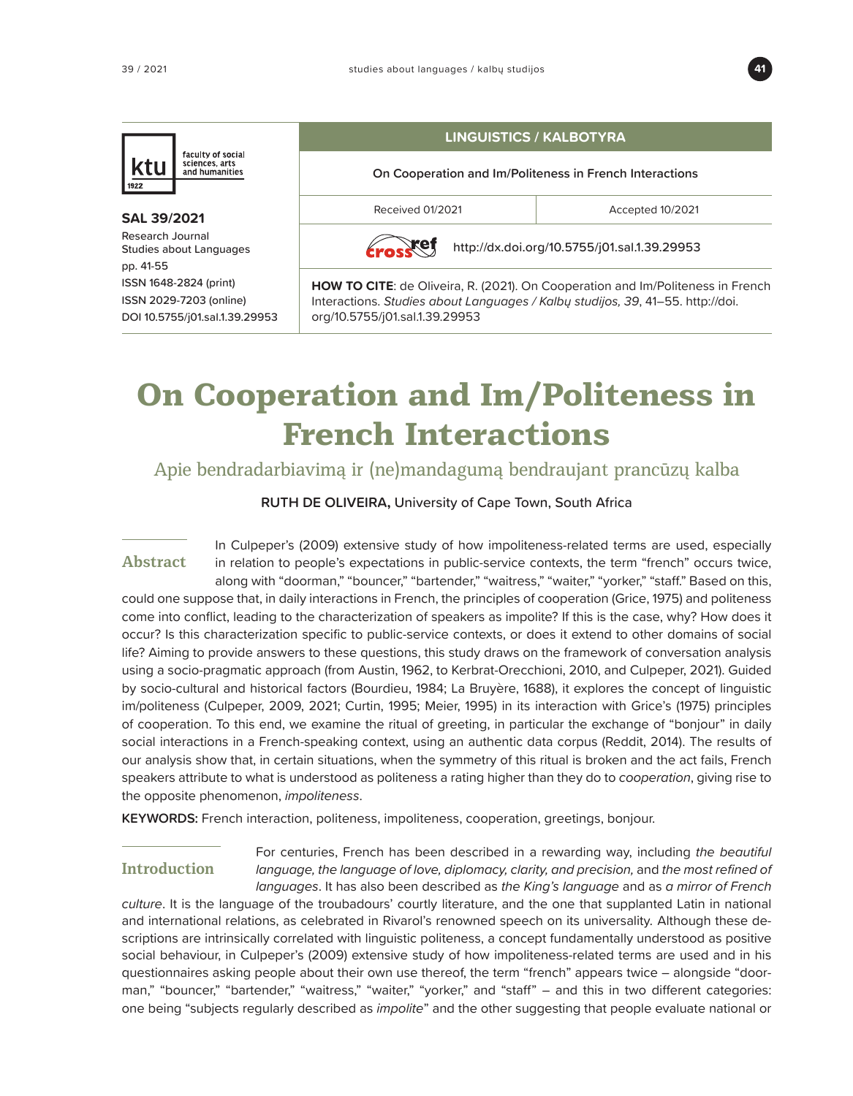

## faculty of social sciences, arts<br>and humanities Κt

#### **SAL 39/2021** Research Journal Studies about Languages pp. 41-55 ISSN 1648-2824 (print) ISSN 2029-7203 (online) DOI 10.5755/j01.sal.1.39.29953

## **LINGUISTICS / KALBOTYRA**

**On Cooperation and Im/Politeness in French Interactions**

Received 01/2021 and a crepted 10/2021

xef

<http://dx.doi.org/10.5755/j01.sal.1.39.29953>

**HOW TO CITE**: de Oliveira, R. (2021). On Cooperation and Im/Politeness in French Interactions. Studies about Languages / Kalbų studijos, 39, 41–55. [http://doi.](http://doi.org) [org/](http://doi.org)10.5755/j01.sal.1.39.29953

# **On Cooperation and Im/Politeness in French Interactions**

Apie bendradarbiavimą ir (ne)mandagumą bendraujant prancūzų kalba

**RUTH DE OLIVEIRA,** University of Cape Town, South Africa

In Culpeper's (2009) extensive study of how impoliteness-related terms are used, especially

in relation to people's expectations in public-service contexts, the term "french" occurs twice, along with "doorman," "bouncer," "bartender," "waitress," "waiter," "yorker," "staff." Based on this, could one suppose that, in daily interactions in French, the principles of cooperation (Grice, 1975) and politeness come into conflict, leading to the characterization of speakers as impolite? If this is the case, why? How does it occur? Is this characterization specific to public-service contexts, or does it extend to other domains of social life? Aiming to provide answers to these questions, this study draws on the framework of conversation analysis using a socio-pragmatic approach (from Austin, 1962, to Kerbrat-Orecchioni, 2010, and Culpeper, 2021). Guided by socio-cultural and historical factors (Bourdieu, 1984; La Bruyère, 1688), it explores the concept of linguistic im/politeness (Culpeper, 2009, 2021; Curtin, 1995; Meier, 1995) in its interaction with Grice's (1975) principles of cooperation. To this end, we examine the ritual of greeting, in particular the exchange of "bonjour" in daily social interactions in a French-speaking context, using an authentic data corpus (Reddit, 2014). The results of our analysis show that, in certain situations, when the symmetry of this ritual is broken and the act fails, French speakers attribute to what is understood as politeness a rating higher than they do to *cooperation*, giving rise to the opposite phenomenon, *impoliteness*. **Abstract**

**KEYWORDS:** French interaction, politeness, impoliteness, cooperation, greetings, bonjour.

## **Introduction**

For centuries, French has been described in a rewarding way, including *the beautiful language, the language of love, diplomacy, clarity, and precision, and the most refined of languages*. It has also been described as *the King's language* and as *a mirror of French* 

*culture*. It is the language of the troubadours' courtly literature, and the one that supplanted Latin in national and international relations, as celebrated in Rivarol's renowned speech on its universality*.* Although these descriptions are intrinsically correlated with linguistic politeness, a concept fundamentally understood as positive social behaviour, in Culpeper's (2009) extensive study of how impoliteness-related terms are used and in his questionnaires asking people about their own use thereof, the term "french" appears twice – alongside "doorman," "bouncer," "bartender," "waitress," "waiter," "yorker," and "staff" – and this in two different categories: one being "subjects regularly described as *impolite*" and the other suggesting that people evaluate national or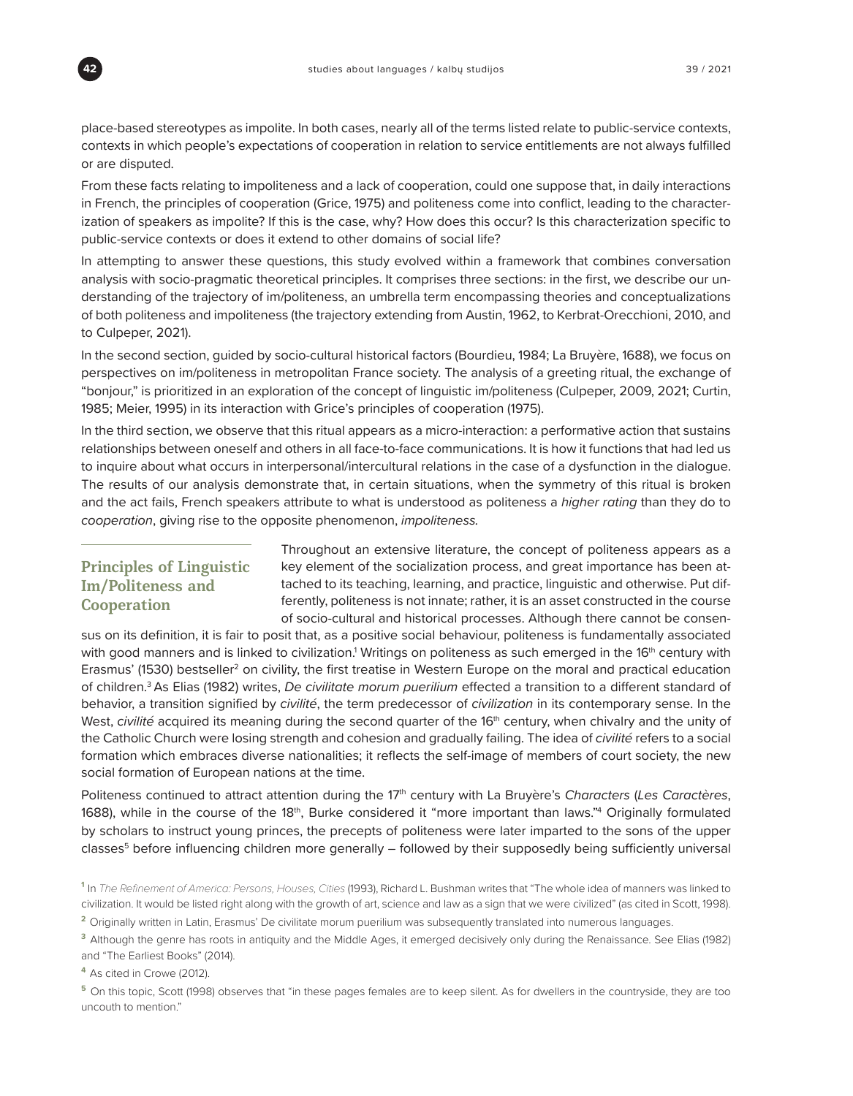

place-based stereotypes as impolite. In both cases, nearly all of the terms listed relate to public-service contexts, contexts in which people's expectations of cooperation in relation to service entitlements are not always fulfilled or are disputed.

From these facts relating to impoliteness and a lack of cooperation, could one suppose that, in daily interactions in French, the principles of cooperation (Grice, 1975) and politeness come into conflict, leading to the characterization of speakers as impolite? If this is the case, why? How does this occur? Is this characterization specific to public-service contexts or does it extend to other domains of social life?

In attempting to answer these questions, this study evolved within a framework that combines conversation analysis with socio-pragmatic theoretical principles. It comprises three sections: in the first, we describe our understanding of the trajectory of im/politeness, an umbrella term encompassing theories and conceptualizations of both politeness and impoliteness (the trajectory extending from Austin, 1962, to Kerbrat-Orecchioni, 2010, and to Culpeper, 2021).

In the second section, guided by socio-cultural historical factors (Bourdieu, 1984; La Bruyère, 1688), we focus on perspectives on im/politeness in metropolitan France society. The analysis of a greeting ritual, the exchange of "bonjour," is prioritized in an exploration of the concept of linguistic im/politeness (Culpeper, 2009, 2021; Curtin, 1985; Meier, 1995) in its interaction with Grice's principles of cooperation (1975).

In the third section, we observe that this ritual appears as a micro-interaction: a performative action that sustains relationships between oneself and others in all face-to-face communications. It is how it functions that had led us to inquire about what occurs in interpersonal/intercultural relations in the case of a dysfunction in the dialogue. The results of our analysis demonstrate that, in certain situations, when the symmetry of this ritual is broken and the act fails, French speakers attribute to what is understood as politeness a *higher rating* than they do to *cooperation*, giving rise to the opposite phenomenon, *impoliteness.*

## **Principles of Linguistic Im/Politeness and Cooperation**

Throughout an extensive literature, the concept of politeness appears as a key element of the socialization process, and great importance has been attached to its teaching, learning, and practice, linguistic and otherwise. Put differently, politeness is not innate; rather, it is an asset constructed in the course of socio-cultural and historical processes. Although there cannot be consen-

sus on its definition, it is fair to posit that, as a positive social behaviour, politeness is fundamentally associated with good manners and is linked to civilization.<sup>1</sup> Writings on politeness as such emerged in the 16<sup>th</sup> century with Erasmus' (1530) bestseller<sup>2</sup> on civility, the first treatise in Western Europe on the moral and practical education of children.3 As Elias (1982) writes, *De civilitate morum puerilium* effected a transition to a different standard of behavior, a transition signified by *civilité*, the term predecessor of *civilization* in its contemporary sense. In the West, *civilité* acquired its meaning during the second quarter of the 16<sup>th</sup> century, when chivalry and the unity of the Catholic Church were losing strength and cohesion and gradually failing. The idea of *civilité* refers to a social formation which embraces diverse nationalities; it reflects the self-image of members of court society, the new social formation of European nations at the time.

Politeness continued to attract attention during the 17th century with La Bruyère's *Characters* (*Les Caractères*, 1688), while in the course of the 18th, Burke considered it "more important than laws." $^4$  Originally formulated by scholars to instruct young princes, the precepts of politeness were later imparted to the sons of the upper classes<sup>5</sup> before influencing children more generally – followed by their supposedly being sufficiently universal

**<sup>4</sup>**As cited in Crowe (2012).

**<sup>5</sup>**On this topic, Scott (1998) observes that "in these pages females are to keep silent. As for dwellers in the countryside, they are too uncouth to mention."

**<sup>1</sup>**In The Refinement of America: Persons, Houses, Cities (1993), Richard L. Bushman writes that "The whole idea of manners was linked to civilization. It would be listed right along with the growth of art, science and law as a sign that we were civilized" (as cited in Scott, 1998).

<sup>&</sup>lt;sup>2</sup> Originally written in Latin, Erasmus' De civilitate morum puerilium was subsequently translated into numerous languages.

**<sup>3</sup>**Although the genre has roots in antiquity and the Middle Ages, it emerged decisively only during the Renaissance. See Elias (1982) and "The Earliest Books" (2014).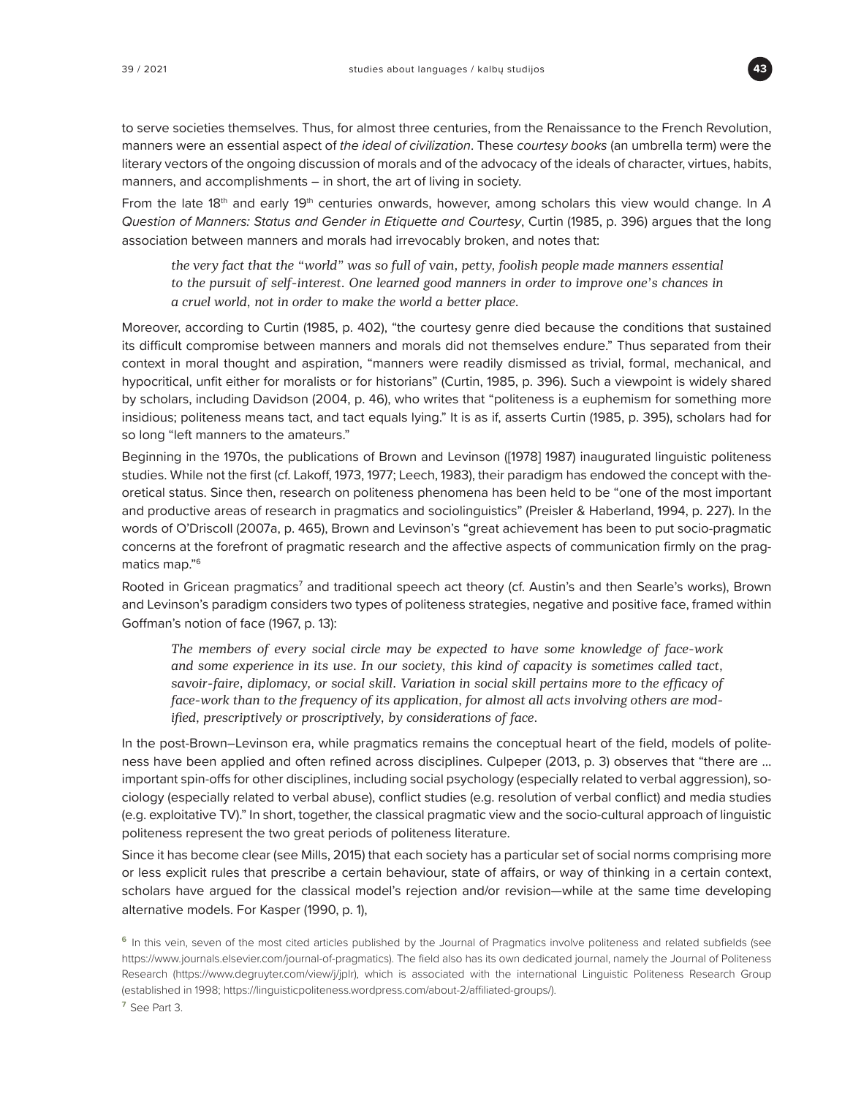

to serve societies themselves. Thus, for almost three centuries, from the Renaissance to the French Revolution, manners were an essential aspect of *the ideal of civilization*. These *courtesy books* (an umbrella term) were the literary vectors of the ongoing discussion of morals and of the advocacy of the ideals of character, virtues, habits, manners, and accomplishments – in short, the art of living in society.

From the late 18<sup>th</sup> and early 19<sup>th</sup> centuries onwards, however, among scholars this view would change. In A *Question of Manners: Status and Gender in Etiquette and Courtesy*, Curtin (1985, p. 396) argues that the long association between manners and morals had irrevocably broken, and notes that:

*the very fact that the "world" was so full of vain, petty, foolish people made manners essential to the pursuit of self-interest. One learned good manners in order to improve one's chances in a cruel world, not in order to make the world a better place.* 

Moreover, according to Curtin (1985, p. 402), "the courtesy genre died because the conditions that sustained its difficult compromise between manners and morals did not themselves endure." Thus separated from their context in moral thought and aspiration, "manners were readily dismissed as trivial, formal, mechanical, and hypocritical, unfit either for moralists or for historians" (Curtin, 1985, p. 396). Such a viewpoint is widely shared by scholars, including Davidson (2004, p. 46), who writes that "politeness is a euphemism for something more insidious; politeness means tact, and tact equals lying." It is as if, asserts Curtin (1985, p. 395), scholars had for so long "left manners to the amateurs."

Beginning in the 1970s, the publications of Brown and Levinson ([1978] 1987) inaugurated linguistic politeness studies. While not the first (cf. Lakoff, 1973, 1977; Leech, 1983), their paradigm has endowed the concept with theoretical status. Since then, research on politeness phenomena has been held to be "one of the most important and productive areas of research in pragmatics and sociolinguistics" (Preisler & Haberland, 1994, p. 227). In the words of O'Driscoll (2007a, p. 465), Brown and Levinson's "great achievement has been to put socio-pragmatic concerns at the forefront of pragmatic research and the affective aspects of communication firmly on the pragmatics map."6

Rooted in Gricean pragmatics<sup>7</sup> and traditional speech act theory (cf. Austin's and then Searle's works), Brown and Levinson's paradigm considers two types of politeness strategies, negative and positive face, framed within Goffman's notion of face (1967, p. 13):

*The members of every social circle may be expected to have some knowledge of face-work and some experience in its use. In our society, this kind of capacity is sometimes called tact, savoir-faire, diplomacy, or social skill. Variation in social skill pertains more to the efficacy of face-work than to the frequency of its application, for almost all acts involving others are modified, prescriptively or proscriptively, by considerations of face.*

In the post-Brown–Levinson era, while pragmatics remains the conceptual heart of the field, models of politeness have been applied and often refined across disciplines. Culpeper (2013, p. 3) observes that "there are … important spin-offs for other disciplines, including social psychology (especially related to verbal aggression), sociology (especially related to verbal abuse), conflict studies (e.g. resolution of verbal conflict) and media studies (e.g. exploitative TV)." In short, together, the classical pragmatic view and the socio-cultural approach of linguistic politeness represent the two great periods of politeness literature.

Since it has become clear (see Mills, 2015) that each society has a particular set of social norms comprising more or less explicit rules that prescribe a certain behaviour, state of affairs, or way of thinking in a certain context, scholars have argued for the classical model's rejection and/or revision—while at the same time developing alternative models. For Kasper (1990, p. 1),

**<sup>6</sup>**In this vein, seven of the most cited articles published by the Journal of Pragmatics involve politeness and related subfields (see [https://www.journals.elsevier.com/journal-of-pragmatics\).](https://www.journals.elsevier.com/journal-of-pragmatics).) The field also has its own dedicated journal, namely the Journal of Politeness Research ([https://www.degruyter.com/view/j/jplr\),](https://www.degruyter.com/view/j/jplr),) which is associated with the international Linguistic Politeness Research Group (established in 1998; [https://linguisticpoliteness.wordpress.com/about-2/affiliated-groups/\).](https://linguisticpoliteness.wordpress.com/about-2/affiliated-groups/).)

**<sup>7</sup>**See Part 3.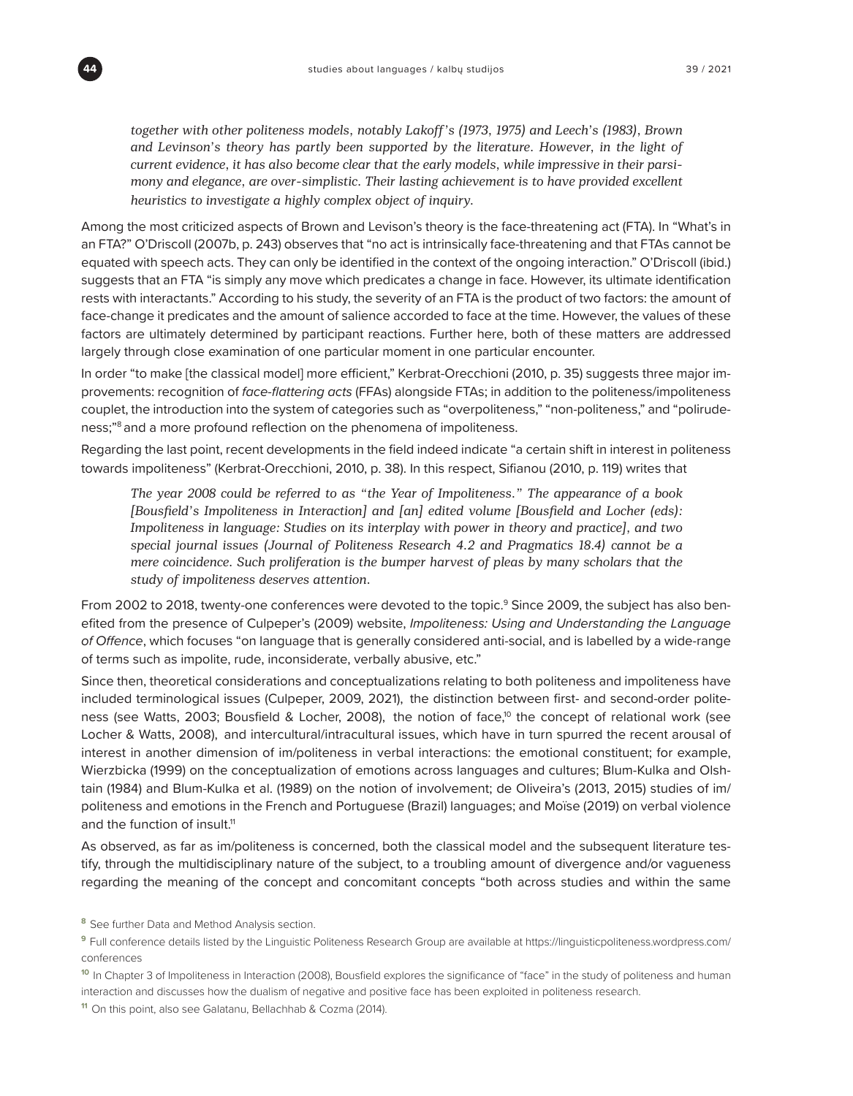*together with other politeness models, notably Lakoff's (1973, 1975) and Leech's (1983), Brown and Levinson's theory has partly been supported by the literature. However, in the light of current evidence, it has also become clear that the early models, while impressive in their parsimony and elegance, are over-simplistic. Their lasting achievement is to have provided excellent heuristics to investigate a highly complex object of inquiry.* 

Among the most criticized aspects of Brown and Levison's theory is the face-threatening act (FTA). In "What's in an FTA?" O'Driscoll (2007b, p. 243) observes that "no act is intrinsically face-threatening and that FTAs cannot be equated with speech acts. They can only be identified in the context of the ongoing interaction." O'Driscoll (ibid.) suggests that an FTA "is simply any move which predicates a change in face. However, its ultimate identification rests with interactants." According to his study, the severity of an FTA is the product of two factors: the amount of face-change it predicates and the amount of salience accorded to face at the time. However, the values of these factors are ultimately determined by participant reactions. Further here, both of these matters are addressed largely through close examination of one particular moment in one particular encounter.

In order "to make [the classical model] more efficient," Kerbrat-Orecchioni (2010, p. 35) suggests three major improvements: recognition of face-flattering acts (FFAs) alongside FTAs; in addition to the politeness/impoliteness couplet, the introduction into the system of categories such as "overpoliteness," "non-politeness," and "polirudeness;"8 and a more profound reflection on the phenomena of impoliteness.

Regarding the last point, recent developments in the field indeed indicate "a certain shift in interest in politeness towards impoliteness" (Kerbrat-Orecchioni, 2010, p. 38). In this respect, Sifianou (2010, p. 119) writes that

*The year 2008 could be referred to as "the Year of Impoliteness." The appearance of a book [Bousfield's Impoliteness in Interaction] and [an] edited volume [Bousfield and Locher (eds): Impoliteness in language: Studies on its interplay with power in theory and practice], and two special journal issues (Journal of Politeness Research 4.2 and Pragmatics 18.4) cannot be a mere coincidence. Such proliferation is the bumper harvest of pleas by many scholars that the study of impoliteness deserves attention.*

From 2002 to 2018, twenty-one conferences were devoted to the topic.<sup>9</sup> Since 2009, the subject has also benefited from the presence of Culpeper's (2009) website, *Impoliteness: Using and Understanding the Language*  of Offence, which focuses "on language that is generally considered anti-social, and is labelled by a wide-range of terms such as impolite, rude, inconsiderate, verbally abusive, etc."

Since then, theoretical considerations and conceptualizations relating to both politeness and impoliteness have included terminological issues (Culpeper, 2009, 2021), the distinction between first- and second-order politeness (see Watts, 2003; Bousfield & Locher, 2008), the notion of face,<sup>10</sup> the concept of relational work (see Locher & Watts, 2008), and intercultural/intracultural issues, which have in turn spurred the recent arousal of interest in another dimension of im/politeness in verbal interactions: the emotional constituent; for example, Wierzbicka (1999) on the conceptualization of emotions across languages and cultures; Blum-Kulka and Olshtain (1984) and Blum-Kulka et al. (1989) on the notion of involvement; de Oliveira's (2013, 2015) studies of im/ politeness and emotions in the French and Portuguese (Brazil) languages; and Moïse (2019) on verbal violence and the function of insult.<sup>11</sup>

As observed, as far as im/politeness is concerned, both the classical model and the subsequent literature testify, through the multidisciplinary nature of the subject, to a troubling amount of divergence and/or vagueness regarding the meaning of the concept and concomitant concepts "both across studies and within the same

<sup>&</sup>lt;sup>8</sup> See further Data and Method Analysis section.

**<sup>9</sup>**Full conference details listed by the Linguistic Politeness Research Group are available at [https://linguisticpoliteness.wordpress.com/](https://linguisticpoliteness.wordpress.com/conferences) [conferences](https://linguisticpoliteness.wordpress.com/conferences)

**<sup>10</sup>**In Chapter 3 of Impoliteness in Interaction (2008), Bousfield explores the significance of "face" in the study of politeness and human interaction and discusses how the dualism of negative and positive face has been exploited in politeness research.

**<sup>11</sup>**On this point, also see Galatanu, Bellachhab & Cozma (2014).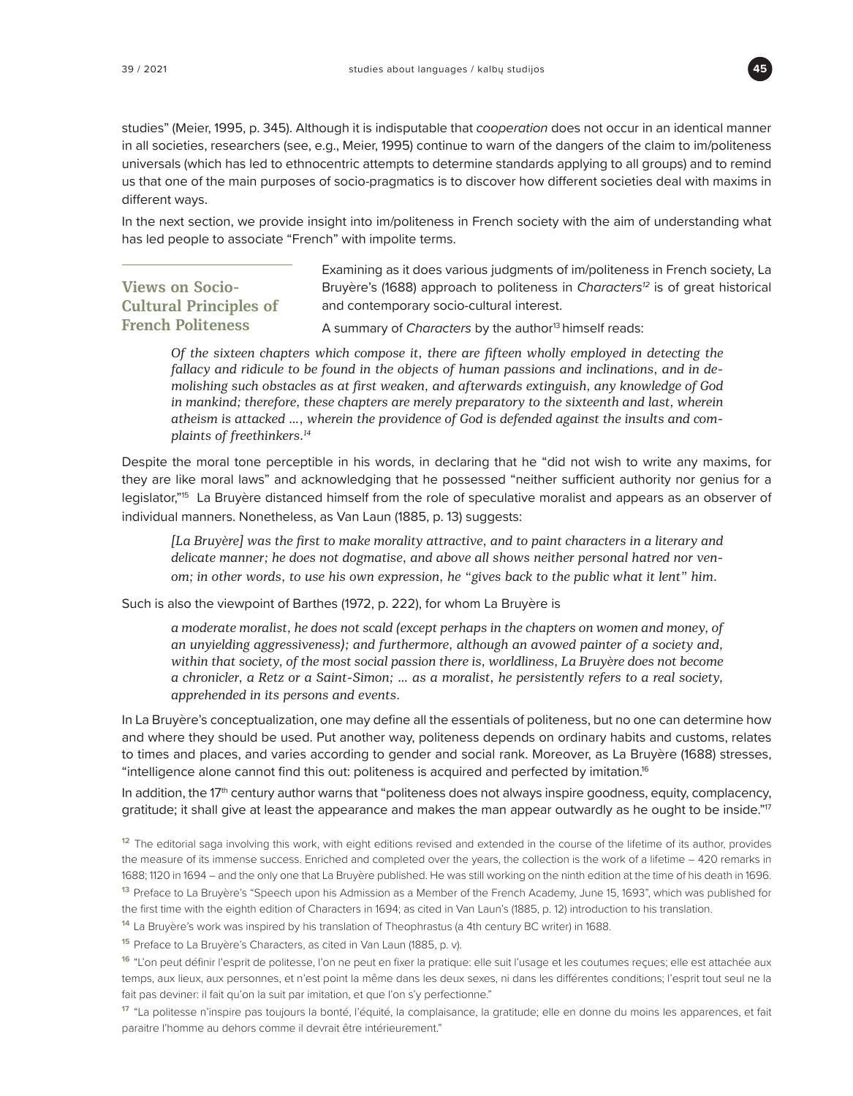

studies" (Meier, 1995, p. 345). Although it is indisputable that *cooperation* does not occur in an identical manner in all societies, researchers (see, e.g., Meier, 1995) continue to warn of the dangers of the claim to im/politeness universals (which has led to ethnocentric attempts to determine standards applying to all groups) and to remind us that one of the main purposes of socio-pragmatics is to discover how different societies deal with maxims in different ways.

In the next section, we provide insight into im/politeness in French society with the aim of understanding what has led people to associate "French" with impolite terms.

## **Views on Socio-Cultural Principles of French Politeness**

Examining as it does various judgments of im/politeness in French society, La Bruyère's (1688) approach to politeness in *Characters<sup>12</sup>* is of great historical and contemporary socio-cultural interest.

A summary of *Characters* by the author<sup>13</sup> himself reads:

*Of the sixteen chapters which compose it, there are fifteen wholly employed in detecting the fallacy and ridicule to be found in the objects of human passions and inclinations, and in demolishing such obstacles as at first weaken, and afterwards extinguish, any knowledge of God in mankind; therefore, these chapters are merely preparatory to the sixteenth and last, wherein atheism is attacked …, wherein the providence of God is defended against the insults and complaints of freethinkers.14*

Despite the moral tone perceptible in his words, in declaring that he "did not wish to write any maxims, for they are like moral laws" and acknowledging that he possessed "neither sufficient authority nor genius for a legislator,"15 La Bruyère distanced himself from the role of speculative moralist and appears as an observer of individual manners. Nonetheless, as Van Laun (1885, p. 13) suggests:

*[La Bruyère] was the first to make morality attractive, and to paint characters in a literary and delicate manner; he does not dogmatise, and above all shows neither personal hatred nor venom; in other words, to use his own expression, he "gives back to the public what it lent" him.*

Such is also the viewpoint of Barthes (1972, p. 222), for whom La Bruyère is

*a moderate moralist, he does not scald (except perhaps in the chapters on women and money, of an unyielding aggressiveness); and furthermore, although an avowed painter of a society and, within that society, of the most social passion there is, worldliness, La Bruyère does not become a chronicler, a Retz or a Saint-Simon; … as a moralist, he persistently refers to a real society, apprehended in its persons and events.*

In La Bruyère's conceptualization, one may define all the essentials of politeness, but no one can determine how and where they should be used. Put another way, politeness depends on ordinary habits and customs, relates to times and places, and varies according to gender and social rank. Moreover, as La Bruyère (1688) stresses, "intelligence alone cannot find this out: politeness is acquired and perfected by imitation.<sup>16</sup>

In addition, the  $17<sup>th</sup>$  century author warns that "politeness does not always inspire goodness, equity, complacency, gratitude; it shall give at least the appearance and makes the man appear outwardly as he ought to be inside."<sup>17</sup>

**<sup>12</sup>**The editorial saga involving this work, with eight editions revised and extended in the course of the lifetime of its author, provides the measure of its immense success. Enriched and completed over the years, the collection is the work of a lifetime – 420 remarks in 1688; 1120 in 1694 – and the only one that La Bruyère published. He was still working on the ninth edition at the time of his death in 1696.

**<sup>13</sup>**Preface to La Bruyère's "Speech upon his Admission as a Member of the French Academy, June 15, 1693", which was published for the first time with the eighth edition of Characters in 1694; as cited in Van Laun's (1885, p. 12) introduction to his translation.

**<sup>14</sup>**La Bruyère's work was inspired by his translation of Theophrastus (a 4th century BC writer) in 1688.

**<sup>15</sup>**Preface to La Bruyère's Characters, as cited in Van Laun (1885, p. v).

**<sup>16</sup>**"L'on peut définir l'esprit de politesse, l'on ne peut en fixer la pratique: elle suit l'usage et les coutumes reçues; elle est attachée aux temps, aux lieux, aux personnes, et n'est point la même dans les deux sexes, ni dans les différentes conditions; l'esprit tout seul ne la fait pas deviner: il fait qu'on la suit par imitation, et que l'on s'y perfectionne."

17 "La politesse n'inspire pas toujours la bonté, l'équité, la complaisance, la gratitude; elle en donne du moins les apparences, et fait paraitre l'homme au dehors comme il devrait être intérieurement."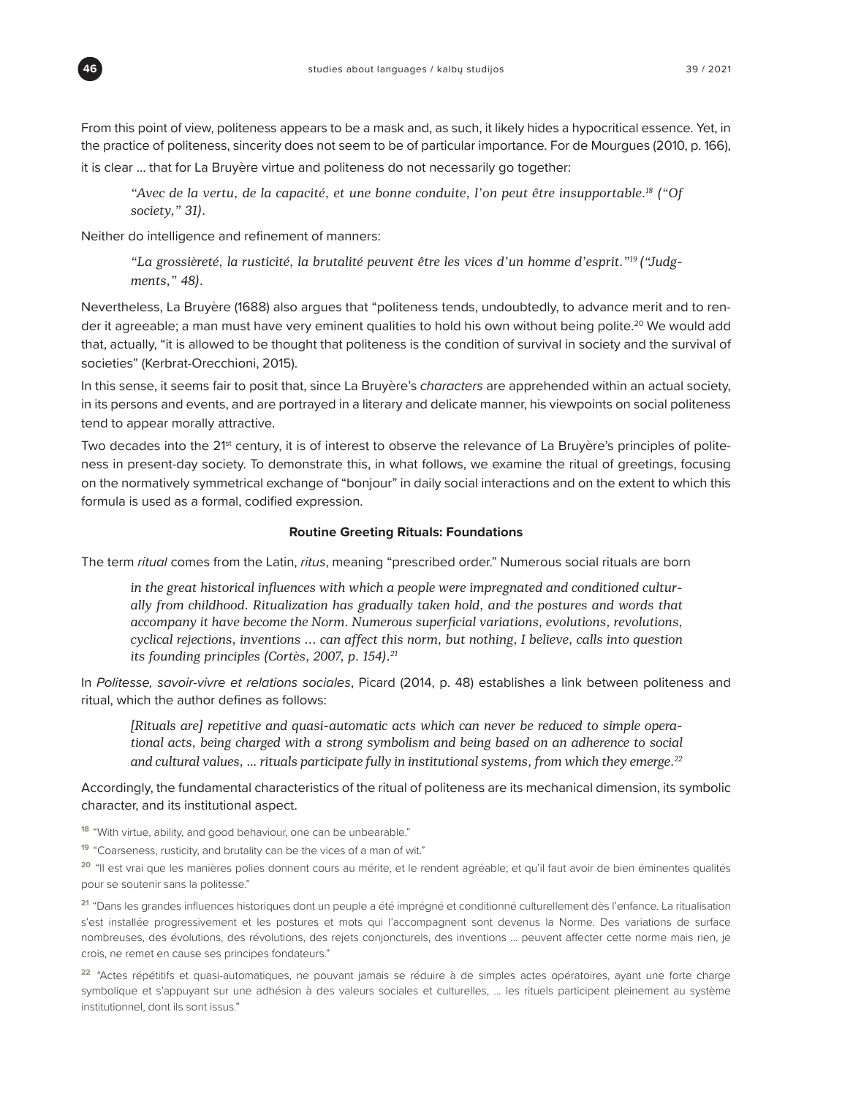

From this point of view, politeness appears to be a mask and, as such, it likely hides a hypocritical essence. Yet, in the practice of politeness, sincerity does not seem to be of particular importance. For de Mourgues (2010, p. 166),

it is clear … that for La Bruyère virtue and politeness do not necessarily go together:

*"Avec de la vertu, de la capacité, et une bonne conduite, l'on peut être insupportable.18 ("Of society," 31).*

Neither do intelligence and refinement of manners:

*"La grossièreté, la rusticité, la brutalité peuvent être les vices d'un homme d'esprit."19 ("Judgments," 48).*

Nevertheless, La Bruyère (1688) also argues that "politeness tends, undoubtedly, to advance merit and to render it agreeable; a man must have very eminent qualities to hold his own without being polite.<sup>20</sup> We would add that, actually, "it is allowed to be thought that politeness is the condition of survival in society and the survival of societies" (Kerbrat-Orecchioni, 2015).

In this sense, it seems fair to posit that, since La Bruyère's *characters* are apprehended within an actual society, in its persons and events, and are portrayed in a literary and delicate manner, his viewpoints on social politeness tend to appear morally attractive.

Two decades into the 21<sup>st</sup> century, it is of interest to observe the relevance of La Bruyère's principles of politeness in present-day society. To demonstrate this, in what follows, we examine the ritual of greetings, focusing on the normatively symmetrical exchange of "bonjour" in daily social interactions and on the extent to which this formula is used as a formal, codified expression.

#### **Routine Greeting Rituals: Foundations**

The term *ritual* comes from the Latin, *ritus*, meaning "prescribed order." Numerous social rituals are born

*in the great historical influences with which a people were impregnated and conditioned culturally from childhood. Ritualization has gradually taken hold, and the postures and words that accompany it have become the Norm. Numerous superficial variations, evolutions, revolutions, cyclical rejections, inventions ... can affect this norm, but nothing, I believe, calls into question its founding principles (Cortès, 2007, p. 154).<sup>21</sup>*

In *Politesse, savoir-vivre et relations sociales*, Picard (2014, p. 48) establishes a link between politeness and ritual, which the author defines as follows:

*[Rituals are] repetitive and quasi-automatic acts which can never be reduced to simple operational acts, being charged with a strong symbolism and being based on an adherence to social and cultural values, … rituals participate fully in institutional systems, from which they emerge.22*

Accordingly, the fundamental characteristics of the ritual of politeness are its mechanical dimension, its symbolic character, and its institutional aspect.

**<sup>18</sup>**"With virtue, ability, and good behaviour, one can be unbearable."

**<sup>19</sup>**"Coarseness, rusticity, and brutality can be the vices of a man of wit."

<sup>20</sup> "Il est vrai que les manières polies donnent cours au mérite, et le rendent agréable; et qu'il faut avoir de bien éminentes qualités pour se soutenir sans la politesse."

**<sup>21</sup>**"Dans les grandes influences historiques dont un peuple a été imprégné et conditionné culturellement dès l'enfance. La ritualisation s'est installée progressivement et les postures et mots qui l'accompagnent sont devenus la Norme. Des variations de surface nombreuses, des évolutions, des révolutions, des rejets conjoncturels, des inventions ... peuvent affecter cette norme mais rien, je crois, ne remet en cause ses principes fondateurs."

**<sup>22</sup>**"Actes répétitifs et quasi-automatiques, ne pouvant jamais se réduire à de simples actes opératoires, ayant une forte charge symbolique et s'appuyant sur une adhésion à des valeurs sociales et culturelles, … les rituels participent pleinement au système institutionnel, dont ils sont issus."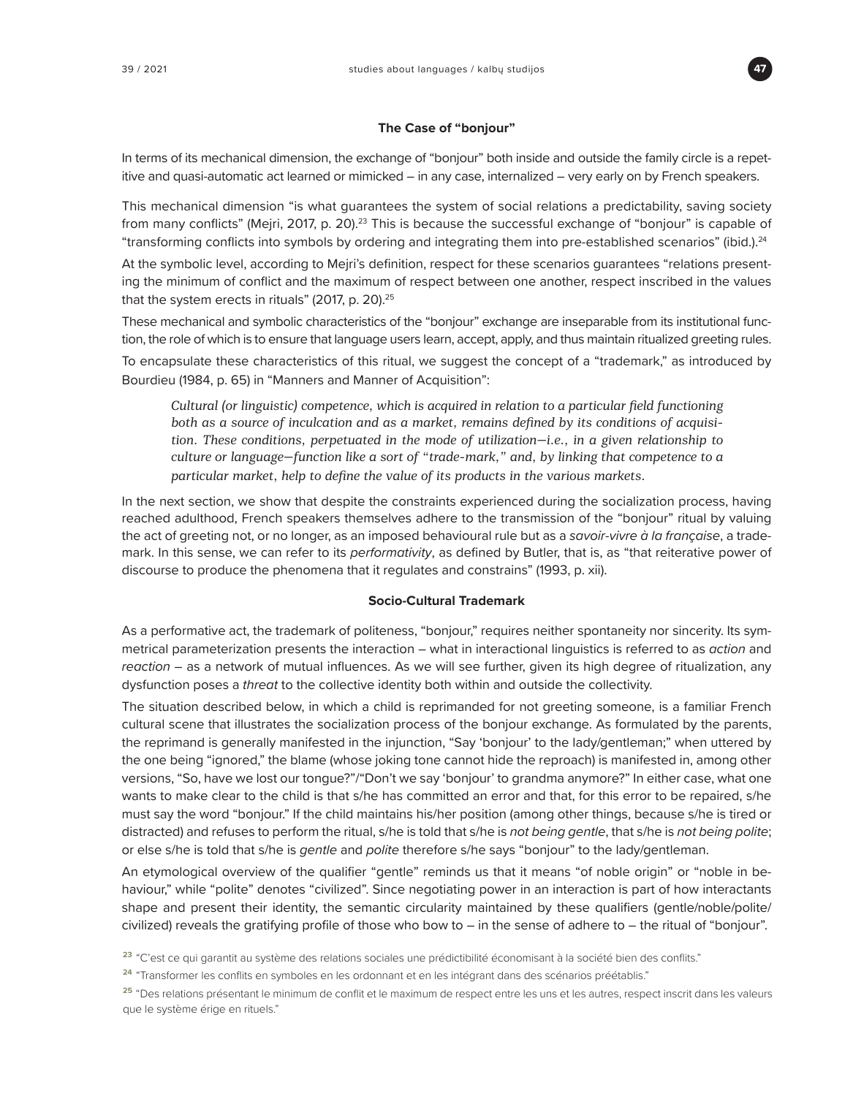

#### **The Case of "bonjour"**

In terms of its mechanical dimension, the exchange of "bonjour" both inside and outside the family circle is a repetitive and quasi-automatic act learned or mimicked – in any case, internalized – very early on by French speakers.

This mechanical dimension "is what guarantees the system of social relations a predictability, saving society from many conflicts" (Mejri, 2017, p. 20).<sup>23</sup> This is because the successful exchange of "bonjour" is capable of "transforming conflicts into symbols by ordering and integrating them into pre-established scenarios" (ibid.).<sup>24</sup>

At the symbolic level, according to Mejri's definition, respect for these scenarios guarantees "relations presenting the minimum of conflict and the maximum of respect between one another, respect inscribed in the values that the system erects in rituals" (2017, p. 20).<sup>25</sup>

These mechanical and symbolic characteristics of the "bonjour" exchange are inseparable from its institutional function, the role of which is to ensure that language users learn, accept, apply, and thus maintain ritualized greeting rules.

To encapsulate these characteristics of this ritual, we suggest the concept of a "trademark," as introduced by Bourdieu (1984, p. 65) in "Manners and Manner of Acquisition":

*Cultural (or linguistic) competence, which is acquired in relation to a particular field functioning both as a source of inculcation and as a market, remains defined by its conditions of acquisition. These conditions, perpetuated in the mode of utilization—i.e., in a given relationship to culture or language—function like a sort of "trade-mark," and, by linking that competence to a particular market, help to define the value of its products in the various markets.*

In the next section, we show that despite the constraints experienced during the socialization process, having reached adulthood, French speakers themselves adhere to the transmission of the "bonjour" ritual by valuing the act of greeting not, or no longer, as an imposed behavioural rule but as a *savoir-vivre à la française*, a trademark. In this sense, we can refer to its *performativity*, as defined by Butler, that is, as "that reiterative power of discourse to produce the phenomena that it regulates and constrains" (1993, p. xii).

#### **Socio-Cultural Trademark**

As a performative act, the trademark of politeness, "bonjour," requires neither spontaneity nor sincerity. Its symmetrical parameterization presents the interaction – what in interactional linguistics is referred to as *action* and *reaction* – as a network of mutual influences. As we will see further, given its high degree of ritualization, any dysfunction poses a *threat* to the collective identity both within and outside the collectivity.

The situation described below, in which a child is reprimanded for not greeting someone, is a familiar French cultural scene that illustrates the socialization process of the bonjour exchange. As formulated by the parents, the reprimand is generally manifested in the injunction, "Say 'bonjour' to the lady/gentleman;" when uttered by the one being "ignored," the blame (whose joking tone cannot hide the reproach) is manifested in, among other versions, "So, have we lost our tongue?"/"Don't we say 'bonjour' to grandma anymore?" In either case, what one wants to make clear to the child is that s/he has committed an error and that, for this error to be repaired, s/he must say the word "bonjour." If the child maintains his/her position (among other things, because s/he is tired or distracted) and refuses to perform the ritual, s/he is told that s/he is *not being gentle*, that s/he is *not being polite*; or else s/he is told that s/he is *gentle* and *polite* therefore s/he says "bonjour" to the lady/gentleman.

An etymological overview of the qualifier "gentle" reminds us that it means "of noble origin" or "noble in behaviour," while "polite" denotes "civilized". Since negotiating power in an interaction is part of how interactants shape and present their identity, the semantic circularity maintained by these qualifiers (gentle/noble/polite/ civilized) reveals the gratifying profile of those who bow to – in the sense of adhere to – the ritual of "bonjour".

**<sup>23</sup>**"C'est ce qui garantit au système des relations sociales une prédictibilité économisant à la société bien des conflits."

**<sup>24</sup>**"Transformer les conflits en symboles en les ordonnant et en les intégrant dans des scénarios préétablis."

<sup>25 &</sup>quot;Des relations présentant le minimum de conflit et le maximum de respect entre les uns et les autres, respect inscrit dans les valeurs que le système érige en rituels."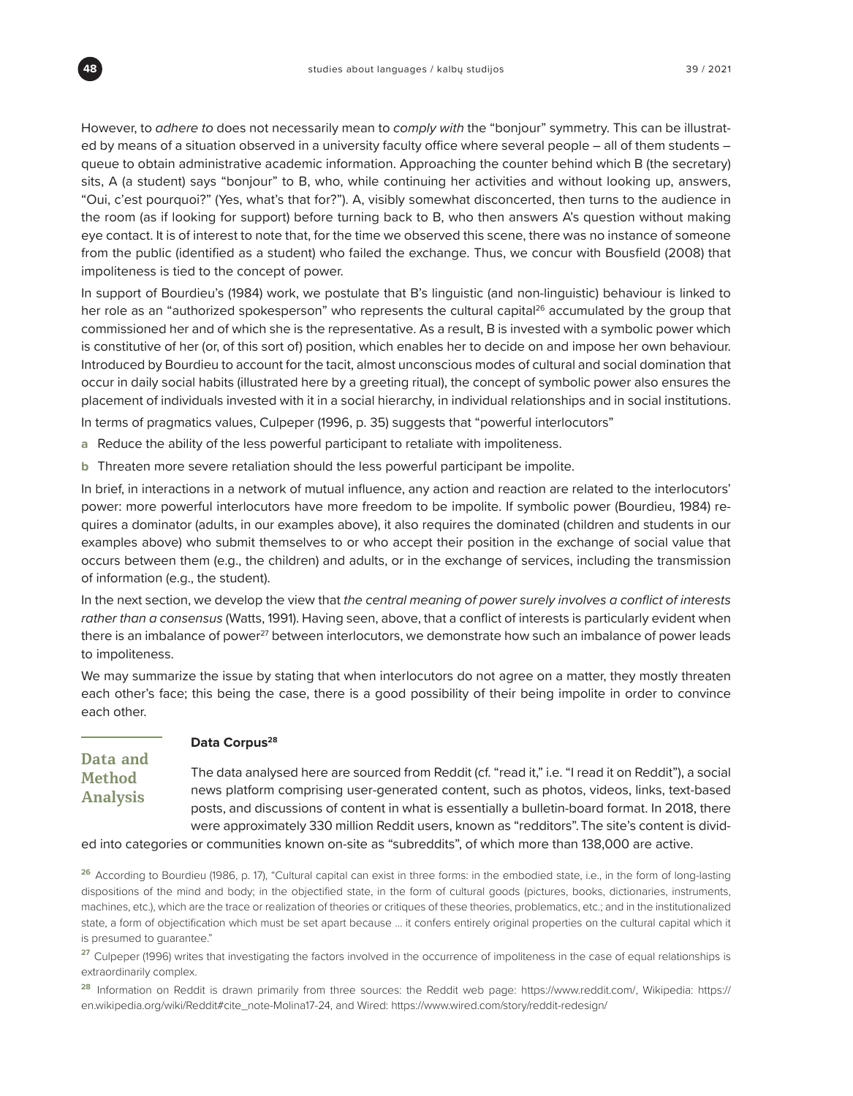However, to *adhere to* does not necessarily mean to *comply with* the "bonjour" symmetry. This can be illustrated by means of a situation observed in a university faculty office where several people – all of them students – queue to obtain administrative academic information. Approaching the counter behind which B (the secretary) sits, A (a student) says "bonjour" to B, who, while continuing her activities and without looking up, answers, "Oui, c'est pourquoi?" (Yes, what's that for?"). A, visibly somewhat disconcerted, then turns to the audience in the room (as if looking for support) before turning back to B, who then answers A's question without making eye contact. It is of interest to note that, for the time we observed this scene, there was no instance of someone from the public (identified as a student) who failed the exchange. Thus, we concur with Bousfield (2008) that impoliteness is tied to the concept of power.

In support of Bourdieu's (1984) work, we postulate that B's linguistic (and non-linguistic) behaviour is linked to her role as an "authorized spokesperson" who represents the cultural capital<sup>26</sup> accumulated by the group that commissioned her and of which she is the representative. As a result, B is invested with a symbolic power which is constitutive of her (or, of this sort of) position, which enables her to decide on and impose her own behaviour. Introduced by Bourdieu to account for the tacit, almost unconscious modes of cultural and social domination that occur in daily social habits (illustrated here by a greeting ritual), the concept of symbolic power also ensures the placement of individuals invested with it in a social hierarchy, in individual relationships and in social institutions.

In terms of pragmatics values, Culpeper (1996, p. 35) suggests that "powerful interlocutors"

- **a** Reduce the ability of the less powerful participant to retaliate with impoliteness.
- **b** Threaten more severe retaliation should the less powerful participant be impolite.

In brief, in interactions in a network of mutual influence, any action and reaction are related to the interlocutors' power: more powerful interlocutors have more freedom to be impolite. If symbolic power (Bourdieu, 1984) requires a dominator (adults, in our examples above), it also requires the dominated (children and students in our examples above) who submit themselves to or who accept their position in the exchange of social value that occurs between them (e.g., the children) and adults, or in the exchange of services, including the transmission of information (e.g., the student).

In the next section, we develop the view that the central meaning of power surely involves a conflict of interests *rather than a consensus* (Watts, 1991). Having seen, above, that a conflict of interests is particularly evident when there is an imbalance of power<sup>27</sup> between interlocutors, we demonstrate how such an imbalance of power leads to impoliteness.

We may summarize the issue by stating that when interlocutors do not agree on a matter, they mostly threaten each other's face; this being the case, there is a good possibility of their being impolite in order to convince each other.

| Data and        |  |  |  |  |  |
|-----------------|--|--|--|--|--|
| <b>Method</b>   |  |  |  |  |  |
| <b>Analysis</b> |  |  |  |  |  |

#### Data Corpus<sup>28</sup>

The data analysed here are sourced from Reddit (cf. "read it," i.e. "I read it on Reddit"), a social news platform comprising user-generated content, such as photos, videos, links, text-based posts, and discussions of content in what is essentially a bulletin-board format. In 2018, there were approximately 330 million Reddit users, known as "redditors".The site's content is divid-

ed into categories or communities known on-site as "subreddits", of which more than 138,000 are active.

**<sup>26</sup>**According to Bourdieu (1986, p. 17), "Cultural capital can exist in three forms: in the embodied state, i.e., in the form of long-lasting dispositions of the mind and body; in the objectified state, in the form of cultural goods (pictures, books, dictionaries, instruments, machines, etc.), which are the trace or realization of theories or critiques of these theories, problematics, etc.; and in the institutionalized state, a form of objectification which must be set apart because … it confers entirely original properties on the cultural capital which it is presumed to guarantee."

**<sup>27</sup>**Culpeper (1996) writes that investigating the factors involved in the occurrence of impoliteness in the case of equal relationships is extraordinarily complex.

**<sup>28</sup>**Information on Reddit is drawn primarily from three sources: the Reddit web page: <https://www.reddit.com/,> Wikipedia: [https://](https://en.wikipedia.org/wiki/Reddit#cite_note-Molina17-24,) [en.wikipedia.org/wiki/Reddit#cite\\_note-Molina17-24,](https://en.wikipedia.org/wiki/Reddit#cite_note-Molina17-24,) and Wired:<https://www.wired.com/story/reddit-redesign/>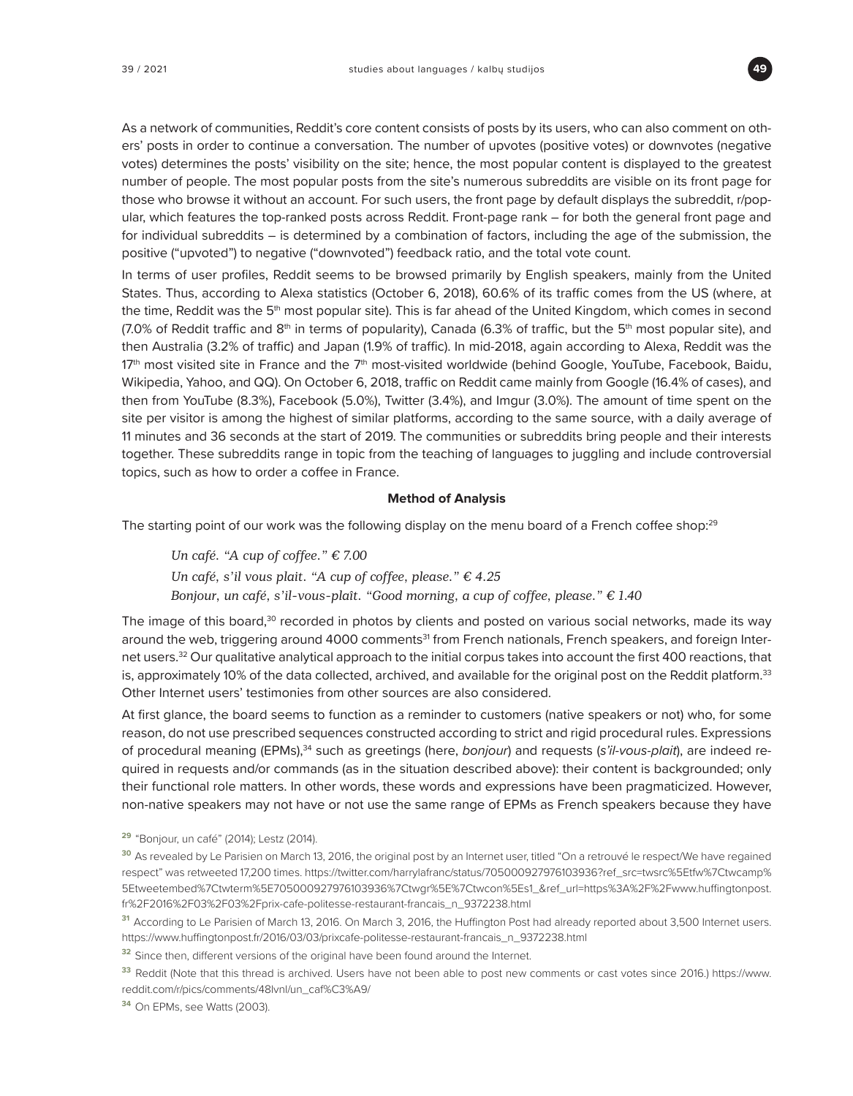

As a network of communities, Reddit's core content consists of posts by its users, who can also comment on others' posts in order to continue a conversation. The number of upvotes (positive votes) or downvotes (negative votes) determines the posts' visibility on the site; hence, the most popular content is displayed to the greatest number of people. The most popular posts from the site's numerous subreddits are visible on its front page for those who browse it without an account. For such users, the front page by default displays the subreddit, r/popular, which features the top-ranked posts across Reddit. Front-page rank – for both the general front page and for individual subreddits – is determined by a combination of factors, including the age of the submission, the positive ("upvoted") to negative ("downvoted") feedback ratio, and the total vote count.

In terms of user profiles, Reddit seems to be browsed primarily by English speakers, mainly from the United States. Thus, according to Alexa statistics (October 6, 2018), 60.6% of its traffic comes from the US (where, at the time, Reddit was the 5<sup>th</sup> most popular site). This is far ahead of the United Kingdom, which comes in second (7.0% of Reddit traffic and 8<sup>th</sup> in terms of popularity), Canada (6.3% of traffic, but the 5<sup>th</sup> most popular site), and then Australia (3.2% of traffic) and Japan (1.9% of traffic). In mid-2018, again according to Alexa, Reddit was the  $17<sup>th</sup>$  most visited site in France and the  $7<sup>th</sup>$  most-visited worldwide (behind Google, YouTube, Facebook, Baidu, Wikipedia, Yahoo, and QQ). On October 6, 2018, traffic on Reddit came mainly from Google (16.4% of cases), and then from YouTube (8.3%), Facebook (5.0%), Twitter (3.4%), and Imgur (3.0%). The amount of time spent on the site per visitor is among the highest of similar platforms, according to the same source, with a daily average of 11 minutes and 36 seconds at the start of 2019. The communities or subreddits bring people and their interests together. These subreddits range in topic from the teaching of languages to juggling and include controversial topics, such as how to order a coffee in France.

#### **Method of Analysis**

The starting point of our work was the following display on the menu board of a French coffee shop:<sup>29</sup>

*Un café. "A cup of coffee." € 7.00 Un café, s'il vous plait. "A cup of coffee, please." € 4.25 Bonjour, un café, s'il-vous-plaît. "Good morning, a cup of coffee, please." € 1.40* 

The image of this board,<sup>30</sup> recorded in photos by clients and posted on various social networks, made its way around the web, triggering around 4000 comments<sup>31</sup> from French nationals, French speakers, and foreign Internet users.<sup>32</sup> Our qualitative analytical approach to the initial corpus takes into account the first 400 reactions, that is, approximately 10% of the data collected, archived, and available for the original post on the Reddit platform.<sup>33</sup> Other Internet users' testimonies from other sources are also considered.

At first glance, the board seems to function as a reminder to customers (native speakers or not) who, for some reason, do not use prescribed sequences constructed according to strict and rigid procedural rules. Expressions of procedural meaning (EPMs),<sup>34</sup> such as greetings (here, bonjour) and requests (s'il-vous-plait), are indeed required in requests and/or commands (as in the situation described above): their content is backgrounded; only their functional role matters. In other words, these words and expressions have been pragmaticized. However, non-native speakers may not have or not use the same range of EPMs as French speakers because they have

**<sup>29</sup>**"Bonjour, un café" (2014); Lestz (2014).

**<sup>34</sup>**On EPMs, see Watts (2003).

**<sup>30</sup>**As revealed by Le Parisien on March 13, 2016, the original post by an Internet user, titled "On a retrouvé le respect/We have regained respect" was retweeted 17,200 times. [https://twitter.com/harrylafranc/status/705000927976103936?ref\\_src=twsrc%5Etfw%7Ctwcamp%](https://twitter.com/harrylafranc/status/705000927976103936?ref_src=twsrc%5Etfw%7Ctwcamp%5Etweetembed%7Ctwterm%5E705000927976103936%7Ctwgr%5E%7Ctwcon%5Es1_&ref_url=https%3A%2F%2Fwww.huffingtonpost.fr%2F2016%2F03%2F03%2Fprix-cafe-politesse-restaurant-francais_n_9372238.html) [5Etweetembed%7Ctwterm%5E705000927976103936%7Ctwgr%5E%7Ctwcon%5Es1\\_&ref\\_url=https%3A%2F%2Fwww.huffingtonpost.](https://twitter.com/harrylafranc/status/705000927976103936?ref_src=twsrc%5Etfw%7Ctwcamp%5Etweetembed%7Ctwterm%5E705000927976103936%7Ctwgr%5E%7Ctwcon%5Es1_&ref_url=https%3A%2F%2Fwww.huffingtonpost.fr%2F2016%2F03%2F03%2Fprix-cafe-politesse-restaurant-francais_n_9372238.html) [fr%2F2016%2F03%2F03%2Fprix-cafe-politesse-restaurant-francais\\_n\\_9372238.html](https://twitter.com/harrylafranc/status/705000927976103936?ref_src=twsrc%5Etfw%7Ctwcamp%5Etweetembed%7Ctwterm%5E705000927976103936%7Ctwgr%5E%7Ctwcon%5Es1_&ref_url=https%3A%2F%2Fwww.huffingtonpost.fr%2F2016%2F03%2F03%2Fprix-cafe-politesse-restaurant-francais_n_9372238.html)

**<sup>31</sup>**According to Le Parisien of March 13, 2016. On March 3, 2016, the Huffington Post had already reported about 3,500 Internet users. [https://www.huffingtonpost.fr/2016/03/03/prixcafe-politesse-restaurant-francais\\_n\\_9372238.html](https://www.huffingtonpost.fr/2016/03/03/prixcafe-politesse-restaurant-francais_n_9372238.html)

<sup>&</sup>lt;sup>32</sup> Since then, different versions of the original have been found around the Internet.

**<sup>33</sup>**Reddit (Note that this thread is archived. Users have not been able to post new comments or cast votes since 2016.) [https://www.](https://www.reddit.com/r/pics/comments/48lvnl/un_caf%C3%A9/) [reddit.com/r/pics/comments/48lvnl/un\\_caf%C3%A9/](https://www.reddit.com/r/pics/comments/48lvnl/un_caf%C3%A9/)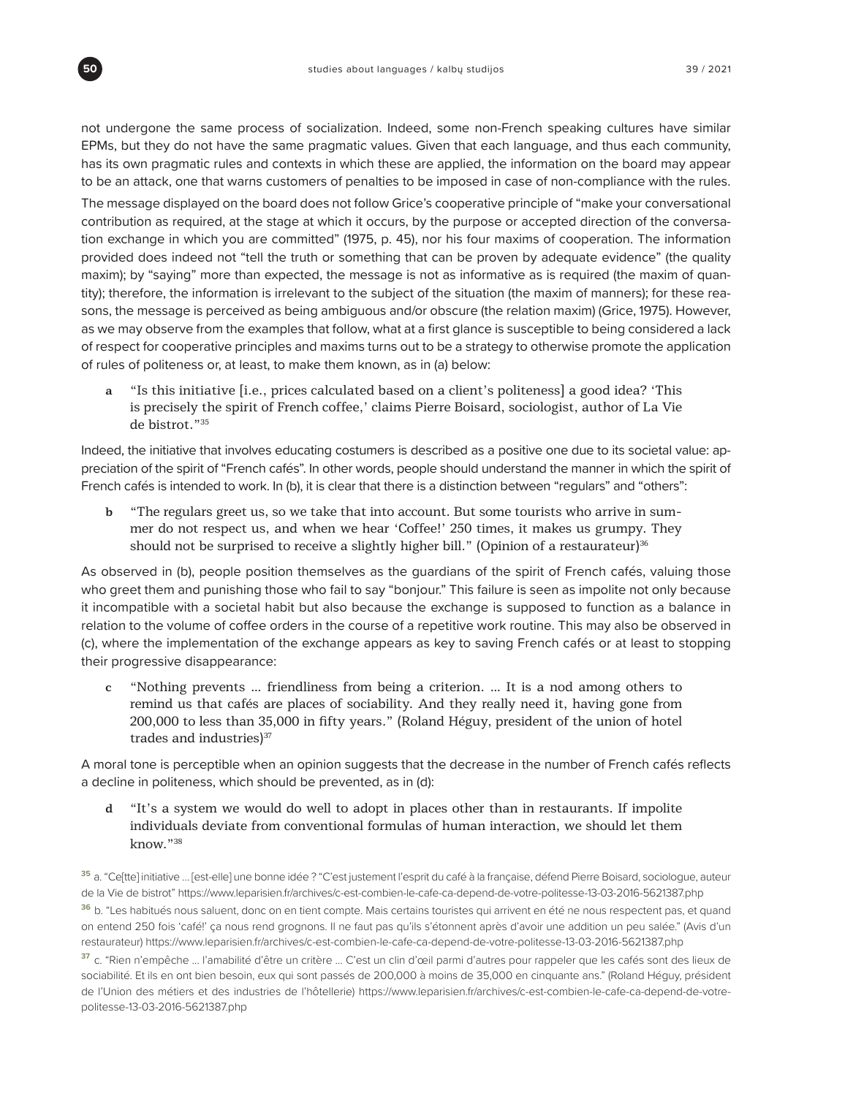not undergone the same process of socialization. Indeed, some non-French speaking cultures have similar EPMs, but they do not have the same pragmatic values. Given that each language, and thus each community, has its own pragmatic rules and contexts in which these are applied, the information on the board may appear to be an attack, one that warns customers of penalties to be imposed in case of non-compliance with the rules.

The message displayed on the board does not follow Grice's cooperative principle of "make your conversational contribution as required, at the stage at which it occurs, by the purpose or accepted direction of the conversation exchange in which you are committed" (1975, p. 45), nor his four maxims of cooperation. The information provided does indeed not "tell the truth or something that can be proven by adequate evidence" (the quality maxim); by "saying" more than expected, the message is not as informative as is required (the maxim of quantity); therefore, the information is irrelevant to the subject of the situation (the maxim of manners); for these reasons, the message is perceived as being ambiguous and/or obscure (the relation maxim) (Grice, 1975). However, as we may observe from the examples that follow, what at a first glance is susceptible to being considered a lack of respect for cooperative principles and maxims turns out to be a strategy to otherwise promote the application of rules of politeness or, at least, to make them known, as in (a) below:

**a** "Is this initiative [i.e., prices calculated based on a client's politeness] a good idea? 'This is precisely the spirit of French coffee,' claims Pierre Boisard, sociologist, author of La Vie de bistrot."35

Indeed, the initiative that involves educating costumers is described as a positive one due to its societal value: appreciation of the spirit of "French cafés". In other words, people should understand the manner in which the spirit of French cafés is intended to work. In (b), it is clear that there is a distinction between "regulars" and "others":

**b** "The regulars greet us, so we take that into account. But some tourists who arrive in summer do not respect us, and when we hear 'Coffee!' 250 times, it makes us grumpy. They should not be surprised to receive a slightly higher bill." (Opinion of a restaurateur) $36$ 

As observed in (b), people position themselves as the guardians of the spirit of French cafés, valuing those who greet them and punishing those who fail to say "bonjour." This failure is seen as impolite not only because it incompatible with a societal habit but also because the exchange is supposed to function as a balance in relation to the volume of coffee orders in the course of a repetitive work routine. This may also be observed in (c), where the implementation of the exchange appears as key to saving French cafés or at least to stopping their progressive disappearance:

**c** "Nothing prevents … friendliness from being a criterion. … It is a nod among others to remind us that cafés are places of sociability. And they really need it, having gone from 200,000 to less than 35,000 in fifty years." (Roland Héguy, president of the union of hotel trades and industries)<sup>37</sup>

A moral tone is perceptible when an opinion suggests that the decrease in the number of French cafés reflects a decline in politeness, which should be prevented, as in (d):

**d** "It's a system we would do well to adopt in places other than in restaurants. If impolite individuals deviate from conventional formulas of human interaction, we should let them know."38

**<sup>35</sup>**a. "Ce[tte] initiative … [est-elle] une bonne idée ? "C'est justement l'esprit du café à la française, défend Pierre Boisard, sociologue, auteur de la Vie de bistrot"<https://www.leparisien.fr/archives/c-est-combien-le-cafe-ca-depend-de-votre-politesse-13-03-2016-5621387.php> **<sup>36</sup>**b. "Les habitués nous saluent, donc on en tient compte. Mais certains touristes qui arrivent en été ne nous respectent pas, et quand on entend 250 fois 'café!' ça nous rend grognons. Il ne faut pas qu'ils s'étonnent après d'avoir une addition un peu salée." (Avis d'un restaurateur) <https://www.leparisien.fr/archives/c-est-combien-le-cafe-ca-depend-de-votre-politesse-13-03-2016-5621387.php>

**<sup>37</sup>**c. "Rien n'empêche … l'amabilité d'être un critère … C'est un clin d'œil parmi d'autres pour rappeler que les cafés sont des lieux de sociabilité. Et ils en ont bien besoin, eux qui sont passés de 200,000 à moins de 35,000 en cinquante ans." (Roland Héguy, président de l'Union des métiers et des industries de l'hôtellerie) [https://www.leparisien.fr/archives/c-est-combien-le-cafe-ca-depend-de-votre](https://www.leparisien.fr/archives/c-est-combien-le-cafe-ca-depend-de-votre-politesse-13-03-2016-5621387.php)[politesse-13-03-2016-5621387.php](https://www.leparisien.fr/archives/c-est-combien-le-cafe-ca-depend-de-votre-politesse-13-03-2016-5621387.php)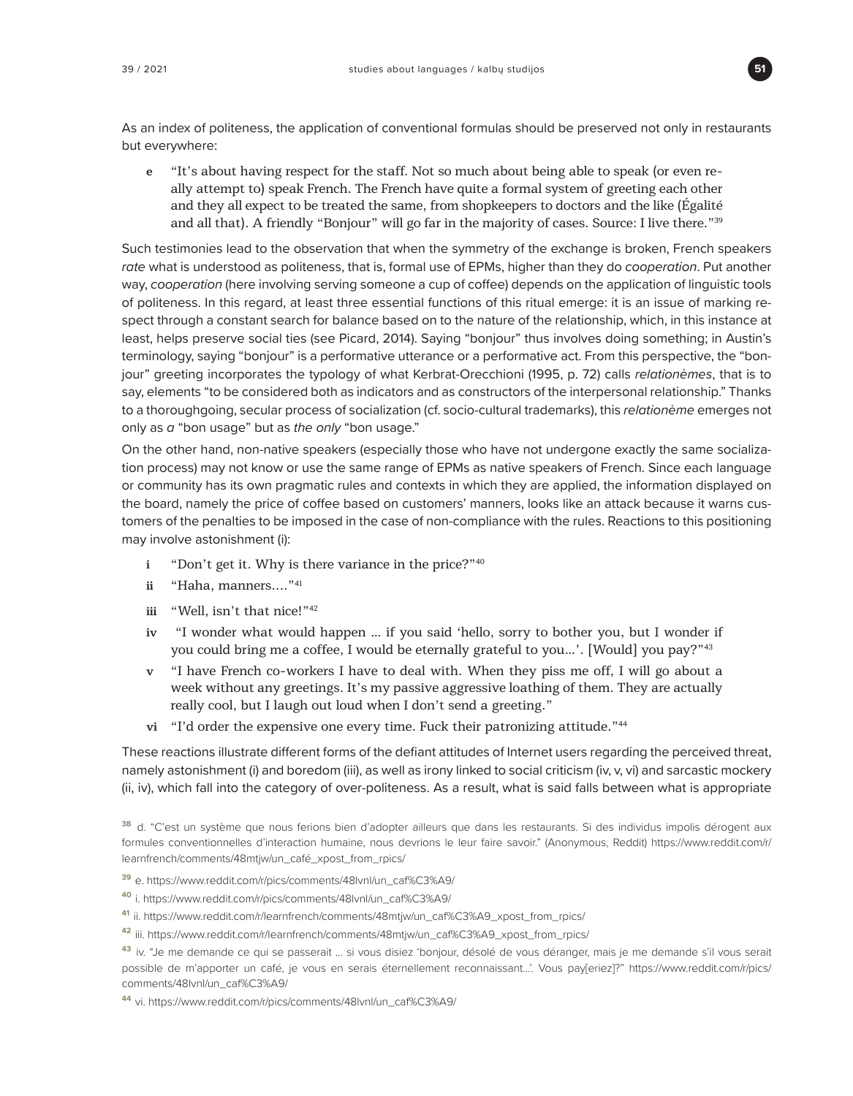

As an index of politeness, the application of conventional formulas should be preserved not only in restaurants but everywhere:

**e** "It's about having respect for the staff. Not so much about being able to speak (or even really attempt to) speak French. The French have quite a formal system of greeting each other and they all expect to be treated the same, from shopkeepers to doctors and the like (Égalité and all that). A friendly "Bonjour" will go far in the majority of cases. Source: I live there."39

Such testimonies lead to the observation that when the symmetry of the exchange is broken, French speakers *rate* what is understood as politeness, that is, formal use of EPMs, higher than they do *cooperation*. Put another way, *cooperation* (here involving serving someone a cup of coffee) depends on the application of linguistic tools of politeness. In this regard, at least three essential functions of this ritual emerge: it is an issue of marking respect through a constant search for balance based on to the nature of the relationship, which, in this instance at least, helps preserve social ties (see Picard, 2014). Saying "bonjour" thus involves doing something; in Austin's terminology, saying "bonjour" is a performative utterance or a performative act. From this perspective, the "bonjour" greeting incorporates the typology of what Kerbrat-Orecchioni (1995, p. 72) calls *relationèmes*, that is to say, elements "to be considered both as indicators and as constructors of the interpersonal relationship." Thanks to a thoroughgoing, secular process of socialization (cf. socio-cultural trademarks), this *relationème* emerges not only as *a* "bon usage" but as *the only* "bon usage."

On the other hand, non-native speakers (especially those who have not undergone exactly the same socialization process) may not know or use the same range of EPMs as native speakers of French. Since each language or community has its own pragmatic rules and contexts in which they are applied, the information displayed on the board, namely the price of coffee based on customers' manners, looks like an attack because it warns customers of the penalties to be imposed in the case of non-compliance with the rules. Reactions to this positioning may involve astonishment (i):

- **i** "Don't get it. Why is there variance in the price?"40
- **ii** "Haha, manners...."<sup>41</sup>
- **iii** "Well, isn't that nice!"42
- **iv** "I wonder what would happen … if you said 'hello, sorry to bother you, but I wonder if you could bring me a coffee, I would be eternally grateful to you...'. [Would] you pay?"<sup>43</sup>
- **v** "I have French co-workers I have to deal with. When they piss me off, I will go about a week without any greetings. It's my passive aggressive loathing of them. They are actually really cool, but I laugh out loud when I don't send a greeting."
- **vi** "I'd order the expensive one every time. Fuck their patronizing attitude."44

These reactions illustrate different forms of the defiant attitudes of Internet users regarding the perceived threat, namely astonishment (i) and boredom (iii), as well as irony linked to social criticism (iv, v, vi) and sarcastic mockery (ii, iv), which fall into the category of over-politeness. As a result, what is said falls between what is appropriate

- **<sup>39</sup>**e. [https://www.reddit.com/r/pics/comments/48lvnl/un\\_caf%C3%A9/](https://www.reddit.com/r/pics/comments/48lvnl/un_caf%C3%A9/)
- **<sup>40</sup>**i. [https://www.reddit.com/r/pics/comments/48lvnl/un\\_caf%C3%A9/](https://www.reddit.com/r/pics/comments/48lvnl/un_caf%C3%A9/)
- **<sup>41</sup>**ii. [https://www.reddit.com/r/learnfrench/comments/48mtjw/un\\_caf%C3%A9\\_xpost\\_from\\_rpics/](https://www.reddit.com/r/learnfrench/comments/48mtjw/un_caf%C3%A9_xpost_from_rpics/)
- **<sup>42</sup>**iii. [https://www.reddit.com/r/learnfrench/comments/48mtjw/un\\_caf%C3%A9\\_xpost\\_from\\_rpics/](https://www.reddit.com/r/learnfrench/comments/48mtjw/un_caf%C3%A9_xpost_from_rpics/)

**<sup>43</sup>**iv. "Je me demande ce qui se passerait … si vous disiez 'bonjour, désolé de vous déranger, mais je me demande s'il vous serait possible de m'apporter un café, je vous en serais éternellement reconnaissant…'. Vous pay[eriez]?" [https://www.reddit.com/r/pics/](https://www.reddit.com/r/pics/comments/48lvnl/un_caf%C3%A9/) [comments/48lvnl/un\\_caf%C3%A9/](https://www.reddit.com/r/pics/comments/48lvnl/un_caf%C3%A9/)

**<sup>44</sup>**vi. [https://www.reddit.com/r/pics/comments/48lvnl/un\\_caf%C3%A9/](https://www.reddit.com/r/pics/comments/48lvnl/un_caf%C3%A9/)

**<sup>38</sup>**d. "C'est un système que nous ferions bien d'adopter ailleurs que dans les restaurants. Si des individus impolis dérogent aux formules conventionnelles d'interaction humaine, nous devrions le leur faire savoir." (Anonymous, Reddit) [https://www.reddit.com/r/](https://www.reddit.com/r/learnfrench/comments/48mtjw) [learnfrench/comments/48mtjw](https://www.reddit.com/r/learnfrench/comments/48mtjw)/un\_café\_xpost\_from\_rpics/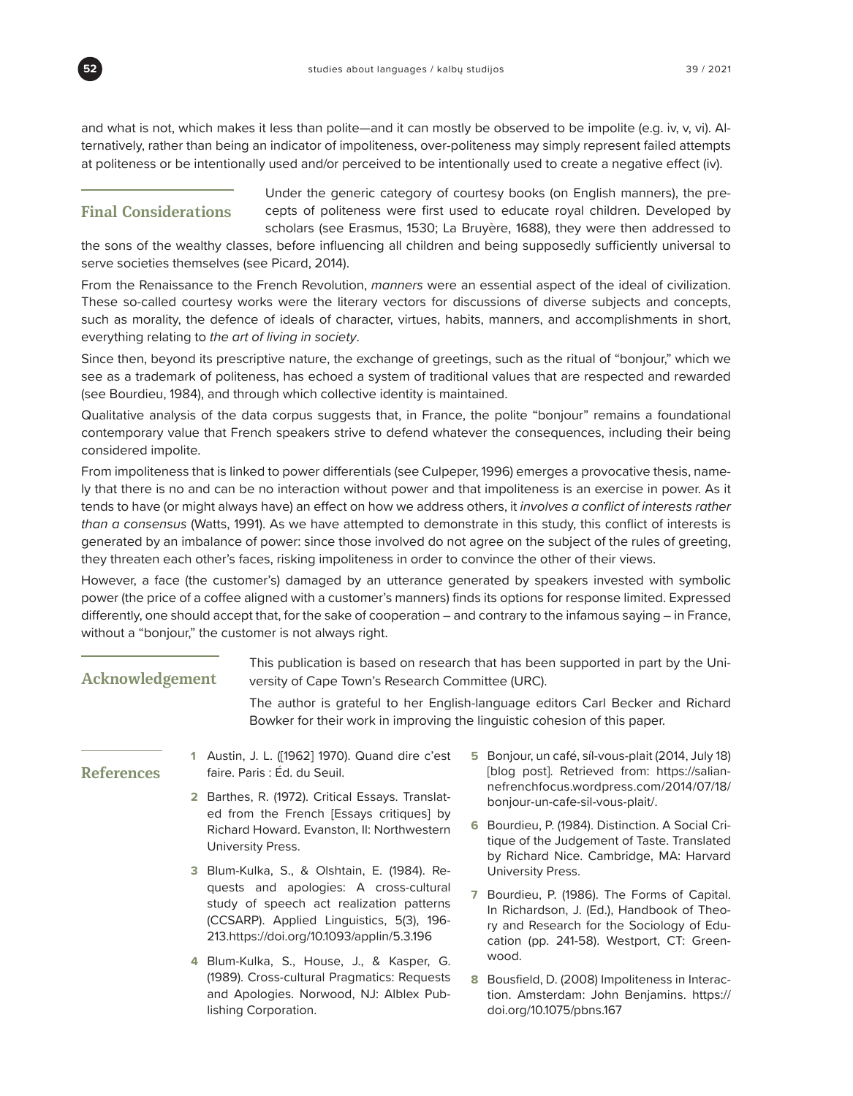

and what is not, which makes it less than polite—and it can mostly be observed to be impolite (e.g. iv, v, vi). Alternatively, rather than being an indicator of impoliteness, over-politeness may simply represent failed attempts at politeness or be intentionally used and/or perceived to be intentionally used to create a negative effect (iv).

### **Final Considerations**

Under the generic category of courtesy books (on English manners), the precepts of politeness were first used to educate royal children. Developed by scholars (see Erasmus, 1530; La Bruyère, 1688), they were then addressed to

the sons of the wealthy classes, before influencing all children and being supposedly sufficiently universal to serve societies themselves (see Picard, 2014).

From the Renaissance to the French Revolution, *manners* were an essential aspect of the ideal of civilization. These so-called courtesy works were the literary vectors for discussions of diverse subjects and concepts, such as morality, the defence of ideals of character, virtues, habits, manners, and accomplishments in short, everything relating to *the art of living in society*.

Since then, beyond its prescriptive nature, the exchange of greetings, such as the ritual of "bonjour," which we see as a trademark of politeness, has echoed a system of traditional values that are respected and rewarded (see Bourdieu, 1984), and through which collective identity is maintained.

Qualitative analysis of the data corpus suggests that, in France, the polite "bonjour" remains a foundational contemporary value that French speakers strive to defend whatever the consequences, including their being considered impolite.

From impoliteness that is linked to power differentials (see Culpeper, 1996) emerges a provocative thesis, namely that there is no and can be no interaction without power and that impoliteness is an exercise in power. As it tends to have (or might always have) an effect on how we address others, it *involves a conflict of interests rather than a consensus* (Watts, 1991). As we have attempted to demonstrate in this study, this conflict of interests is generated by an imbalance of power: since those involved do not agree on the subject of the rules of greeting, they threaten each other's faces, risking impoliteness in order to convince the other of their views.

However, a face (the customer's) damaged by an utterance generated by speakers invested with symbolic power (the price of a coffee aligned with a customer's manners) finds its options for response limited. Expressed differently, one should accept that, for the sake of cooperation – and contrary to the infamous saying – in France, without a "bonjour," the customer is not always right.

| Acknowledgement   |  |                                                                                                                                                                               | This publication is based on research that has been supported in part by the Uni-<br>versity of Cape Town's Research Committee (URC). |                                                                                                                                                                                    |  |  |
|-------------------|--|-------------------------------------------------------------------------------------------------------------------------------------------------------------------------------|---------------------------------------------------------------------------------------------------------------------------------------|------------------------------------------------------------------------------------------------------------------------------------------------------------------------------------|--|--|
|                   |  | Bowker for their work in improving the linguistic cohesion of this paper.                                                                                                     |                                                                                                                                       | The author is grateful to her English-language editors Carl Becker and Richard                                                                                                     |  |  |
| <b>References</b> |  | Austin, J. L. ([1962] 1970). Quand dire c'est<br>faire. Paris : Éd. du Seuil.                                                                                                 | 5                                                                                                                                     | Bonjour, un café, síl-vous-plait (2014, July 18)<br>[blog post]. Retrieved from: https://salian-                                                                                   |  |  |
|                   |  | 2 Barthes, R. (1972). Critical Essays. Translat-                                                                                                                              |                                                                                                                                       | nefrenchfocus.wordpress.com/2014/07/18/<br>bonjour-un-cafe-sil-vous-plait/.                                                                                                        |  |  |
|                   |  | ed from the French [Essays critiques] by<br>Richard Howard. Evanston, II: Northwestern<br>University Press.                                                                   | 6.                                                                                                                                    | Bourdieu, P. (1984). Distinction. A Social Cri-<br>tique of the Judgement of Taste. Translated<br>by Richard Nice. Cambridge, MA: Harvard                                          |  |  |
|                   |  | 3 Blum-Kulka, S., & Olshtain, E. (1984). Re-                                                                                                                                  |                                                                                                                                       | University Press.                                                                                                                                                                  |  |  |
|                   |  | quests and apologies: A cross-cultural<br>study of speech act realization patterns<br>(CCSARP). Applied Linguistics, 5(3), 196-<br>213.https://doi.org/10.1093/applin/5.3.196 |                                                                                                                                       | Bourdieu, P. (1986). The Forms of Capital.<br>In Richardson, J. (Ed.), Handbook of Theo-<br>ry and Research for the Sociology of Edu-<br>cation (pp. 241-58). Westport, CT: Green- |  |  |
|                   |  | 4 Blum-Kulka, S., House, J., & Kasper, G.<br>(1989). Cross-cultural Pragmatics: Requests<br>and Apologies. Norwood, NJ: Alblex Pub-<br>lishing Corporation.                   | 8                                                                                                                                     | wood.<br>Bousfield, D. (2008) Impoliteness in Interac-<br>tion. Amsterdam: John Benjamins. https://<br>doi.org/10.1075/pbns.167                                                    |  |  |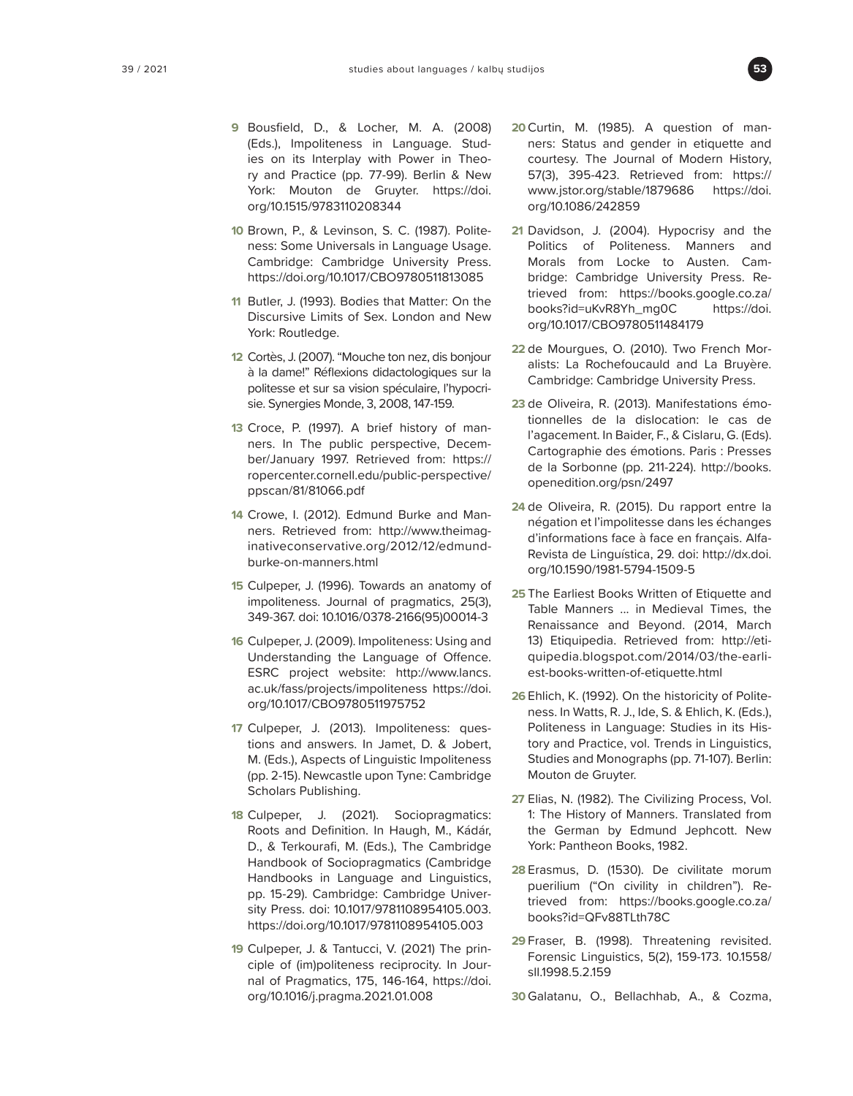

- **9** Bousfield, D., & Locher, M. A. (2008) (Eds.), Impoliteness in Language. Studies on its Interplay with Power in Theory and Practice (pp. 77-99). Berlin & New York: Mouton de Gruyter. [https://doi.](https://doi.org/10.1515/9783110208344) [org/10.1515/9783110208344](https://doi.org/10.1515/9783110208344)
- **10** Brown, P., & Levinson, S. C. (1987). Politeness: Some Universals in Language Usage. Cambridge: Cambridge University Press. <https://doi.org/10.1017/CBO9780511813085>
- **11** Butler, J. (1993). Bodies that Matter: On the Discursive Limits of Sex. London and New York: Routledge.
- **12** Cortès, J. (2007). "Mouche ton nez, dis bonjour à la dame!" Réflexions didactologiques sur la politesse et sur sa vision spéculaire, l'hypocrisie. Synergies Monde, 3, 2008, 147-159.
- **13** Croce, P. (1997). A brief history of manners. In The public perspective, December/January 1997. Retrieved from: [https://](https://ropercenter.cornell.edu/public-perspective/ppscan/81/81066.pdf) [ropercenter.cornell.edu/public-perspective/](https://ropercenter.cornell.edu/public-perspective/ppscan/81/81066.pdf) [ppscan/81/81066.pdf](https://ropercenter.cornell.edu/public-perspective/ppscan/81/81066.pdf)
- **14** Crowe, I. (2012). Edmund Burke and Manners. Retrieved from: [http://www.theimag](http://www.theimaginativeconservative.org/2012/12/edmund-burke-on-manners.html)[inativeconservative.org/2012/12/edmund](http://www.theimaginativeconservative.org/2012/12/edmund-burke-on-manners.html)[burke-on-manners.html](http://www.theimaginativeconservative.org/2012/12/edmund-burke-on-manners.html)
- **15** Culpeper, J. (1996). Towards an anatomy of impoliteness. Journal of pragmatics, 25(3), 349-367. doi: 10.1016/0378-2166(95)00014-3
- **16** Culpeper, J. (2009). Impoliteness: Using and Understanding the Language of Offence. ESRC project website: [http://www.lancs.](http://www.lancs.ac.uk/fass/projects/impoliteness) [ac.uk/fass/projects/impoliteness](http://www.lancs.ac.uk/fass/projects/impoliteness) [https://doi.](https://doi.org/10.1017/CBO9780511975752) [org/10.1017/CBO9780511975752](https://doi.org/10.1017/CBO9780511975752)
- **17** Culpeper, J. (2013). Impoliteness: questions and answers. In Jamet, D. & Jobert, M. (Eds.), Aspects of Linguistic Impoliteness (pp. 2-15). Newcastle upon Tyne: Cambridge Scholars Publishing.
- **18** Culpeper, J. (2021). Sociopragmatics: Roots and Definition. In Haugh, M., Kádár, D., & Terkourafi, M. (Eds.), The Cambridge Handbook of Sociopragmatics (Cambridge Handbooks in Language and Linguistics, pp. 15-29). Cambridge: Cambridge University Press. doi: 10.1017/9781108954105.003. <https://doi.org/10.1017/9781108954105.003>
- **19** Culpeper, J. & Tantucci, V. (2021) The principle of (im)politeness reciprocity. In Journal of Pragmatics, 175, 146-164, [https://doi.](https://doi.org/10.1016/j.pragma.2021.01.008) [org/10.1016/j.pragma.2021.01.008](https://doi.org/10.1016/j.pragma.2021.01.008)
- **20**Curtin, M. (1985). A question of manners: Status and gender in etiquette and courtesy. The Journal of Modern History, 57(3), 395-423. Retrieved from: [https://](https://www.jstor.org/stable/1879686) [www.jstor.org/stable/1879686](https://www.jstor.org/stable/1879686) [https://doi.](https://doi.org/10.1086/242859) [org/10.1086/242859](https://doi.org/10.1086/242859)
- **21** Davidson, J. (2004). Hypocrisy and the Politics of Politeness. Manners and Morals from Locke to Austen. Cambridge: Cambridge University Press. Retrieved from: [https://books.google.co.za/](https://books.google.co.za/books?id=uKvR8Yh_mg0C) [books?id=uKvR8Yh\\_mg0C](https://books.google.co.za/books?id=uKvR8Yh_mg0C) [https://doi.](https://doi.org/10.1017/CBO9780511484179) [org/10.1017/CBO9780511484179](https://doi.org/10.1017/CBO9780511484179)
- **22** de Mourgues, O. (2010). Two French Moralists: La Rochefoucauld and La Bruyère. Cambridge: Cambridge University Press.
- **23** de Oliveira, R. (2013). Manifestations émotionnelles de la dislocation: le cas de l'agacement. In Baider, F., & Cislaru, G. (Eds). Cartographie des émotions. Paris : Presses de la Sorbonne (pp. 211-224). [http://books.](http://books.openedition.org/psn/2497) [openedition.org/psn/2497](http://books.openedition.org/psn/2497)
- **24** de Oliveira, R. (2015). Du rapport entre la négation et l'impolitesse dans les échanges d'informations face à face en français. Alfa-Revista de Linguística, 29. doi: [http://dx.doi.](http://dx.doi.org/10.1590/1981-5794-1509-5) [org/10.1590/1981-5794-1509-5](http://dx.doi.org/10.1590/1981-5794-1509-5)
- **25** The Earliest Books Written of Etiquette and Table Manners ... in Medieval Times, the Renaissance and Beyond. (2014, March 13) Etiquipedia. Retrieved from: [http://eti](http://etiquipedia.blogspot.com/2014/03/the-earliest-books-written-of-etiquette.html)[quipedia.blogspot.com/2014/03/the-earli](http://etiquipedia.blogspot.com/2014/03/the-earliest-books-written-of-etiquette.html)[est-books-written-of-etiquette.html](http://etiquipedia.blogspot.com/2014/03/the-earliest-books-written-of-etiquette.html)
- **26** Ehlich, K. (1992). On the historicity of Politeness. In Watts, R. J., Ide, S. & Ehlich, K. (Eds.), Politeness in Language: Studies in its History and Practice, vol. Trends in Linguistics, Studies and Monographs (pp. 71-107). Berlin: Mouton de Gruyter.
- **27** Elias, N. (1982). The Civilizing Process, Vol. 1: The History of Manners. Translated from the German by Edmund Jephcott. New York: Pantheon Books, 1982.
- **28** Erasmus, D. (1530). De civilitate morum puerilium ("On civility in children"). Retrieved from: [https://books.google.co.za/](https://books.google.co.za/books?id=QFv88TLth78C) [books?id=QFv88TLth78C](https://books.google.co.za/books?id=QFv88TLth78C)
- **29** Fraser, B. (1998). Threatening revisited. Forensic Linguistics, 5(2), 159-173. 10.1558/ sll.1998.5.2.159
- **30** Galatanu, O., Bellachhab, A., & Cozma,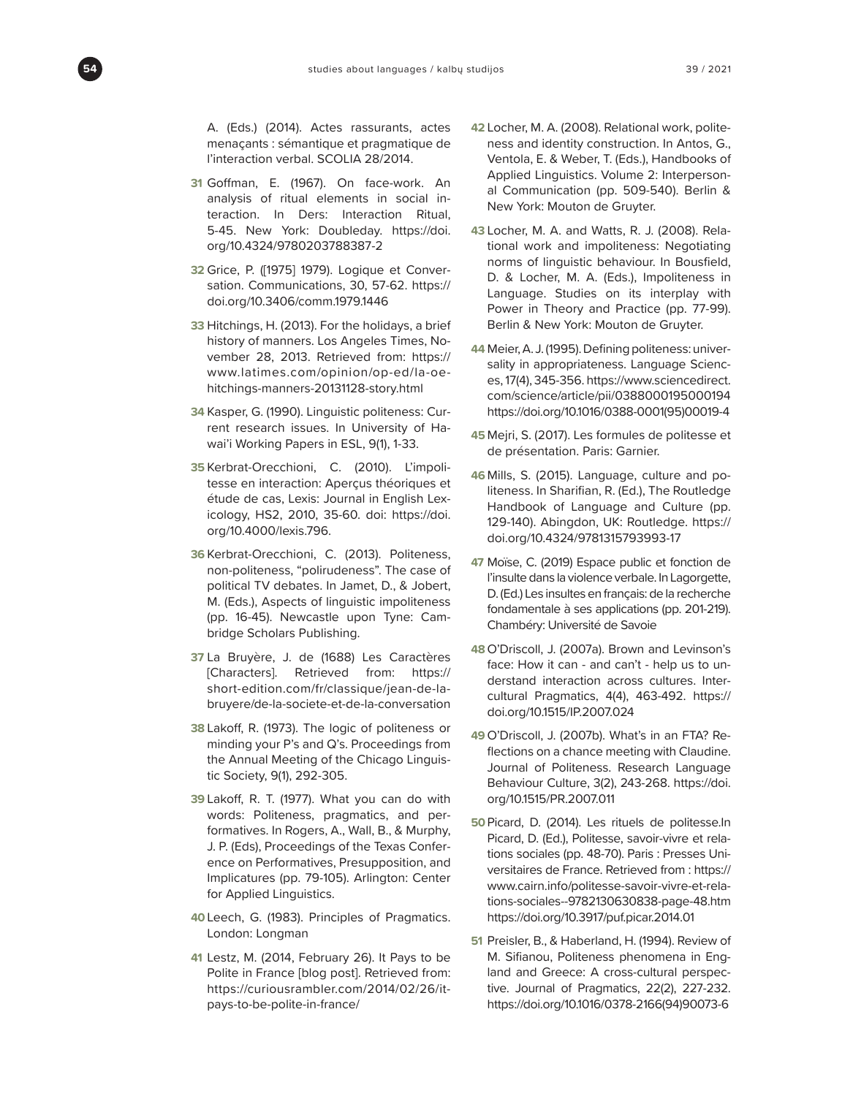A. (Eds.) (2014). Actes rassurants, actes menaçants : sémantique et pragmatique de l'interaction verbal. SCOLIA 28/2014.

- **31** Goffman, E. (1967). On face-work. An analysis of ritual elements in social interaction. In Ders: Interaction Ritual, 5-45. New York: Doubleday. [https://doi.](https://doi.org/10.4324/9780203788387-2) [org/10.4324/9780203788387-2](https://doi.org/10.4324/9780203788387-2)
- **32** Grice, P. ([1975] 1979). Logique et Conversation. Communications, 30, 57-62. [https://](https://doi.org/10.3406/comm.1979.1446) [doi.org/10.3406/comm.1979.1446](https://doi.org/10.3406/comm.1979.1446)
- **33** Hitchings, H. (2013). For the holidays, a brief history of manners. Los Angeles Times, November 28, 2013. Retrieved from: [https://](https://www.latimes.com/opinion/op-ed/la-oe-hitchings-manners-20131128-story.html) [www.latimes.com/opinion/op-ed/la-oe](https://www.latimes.com/opinion/op-ed/la-oe-hitchings-manners-20131128-story.html)[hitchings-manners-20131128-story.html](https://www.latimes.com/opinion/op-ed/la-oe-hitchings-manners-20131128-story.html)
- **34** Kasper, G. (1990). Linguistic politeness: Current research issues. In University of Hawai'i Working Papers in ESL, 9(1), 1-33.
- **35** Kerbrat-Orecchioni, C. (2010). L'impolitesse en interaction: Aperçus théoriques et étude de cas, Lexis: Journal in English Lexicology, HS2, 2010, 35-60. doi: [https://doi.](https://doi.org/10.4000/lexis.796.) [org/10.4000/lexis.796.](https://doi.org/10.4000/lexis.796.)
- **36** Kerbrat-Orecchioni, C. (2013). Politeness, non-politeness, "polirudeness". The case of political TV debates. In Jamet, D., & Jobert, M. (Eds.), Aspects of linguistic impoliteness (pp. 16-45). Newcastle upon Tyne: Cambridge Scholars Publishing.
- **37** La Bruyère, J. de (1688) Les Caractères [Characters]. Retrieved from: [https://](https://short-edition.com/fr/classique/jean-de-la-bruyere/de-la-societe-et-de-la-conversation) [short-edition.com/fr/classique/jean-de-la](https://short-edition.com/fr/classique/jean-de-la-bruyere/de-la-societe-et-de-la-conversation)[bruyere/de-la-societe-et-de-la-conversation](https://short-edition.com/fr/classique/jean-de-la-bruyere/de-la-societe-et-de-la-conversation)
- **38** Lakoff, R. (1973). The logic of politeness or minding your P's and Q's. Proceedings from the Annual Meeting of the Chicago Linguistic Society, 9(1), 292-305.
- **39** Lakoff, R. T. (1977). What you can do with words: Politeness, pragmatics, and performatives. In Rogers, A., Wall, B., & Murphy, J. P. (Eds), Proceedings of the Texas Conference on Performatives, Presupposition, and Implicatures (pp. 79-105). Arlington: Center for Applied Linguistics.
- **40**Leech, G. (1983). Principles of Pragmatics. London: Longman
- **41** Lestz, M. (2014, February 26). It Pays to be Polite in France [blog post]. Retrieved from: [https://curiousrambler.com/2014/02/26/it](https://curiousrambler.com/2014/02/26/it-pays-to-be-polite-in-france/)[pays-to-be-polite-in-france/](https://curiousrambler.com/2014/02/26/it-pays-to-be-polite-in-france/)
- **42** Locher, M. A. (2008). Relational work, politeness and identity construction. In Antos, G., Ventola, E. & Weber, T. (Eds.), Handbooks of Applied Linguistics. Volume 2: Interpersonal Communication (pp. 509-540). Berlin & New York: Mouton de Gruyter.
- **43** Locher, M. A. and Watts, R. J. (2008). Relational work and impoliteness: Negotiating norms of linguistic behaviour. In Bousfield, D. & Locher, M. A. (Eds.), Impoliteness in Language. Studies on its interplay with Power in Theory and Practice (pp. 77-99). Berlin & New York: Mouton de Gruyter.
- **44** Meier, A. J. (1995). Defining politeness: universality in appropriateness. Language Sciences, 17(4), 345-356. [https://www.sciencedirect.](https://www.sciencedirect.com/science/article/pii/0388000195000194) [com/science/article/pii/0388000195000194](https://www.sciencedirect.com/science/article/pii/0388000195000194) [https://doi.org/10.1016/0388-0001\(95\)00019-4](https://doi.org/10.1016/0388-0001(95)00019-4)
- **45** Mejri, S. (2017). Les formules de politesse et de présentation. Paris: Garnier.
- **46** Mills, S. (2015). Language, culture and politeness. In Sharifian, R. (Ed.), The Routledge Handbook of Language and Culture (pp. 129-140). Abingdon, UK: Routledge. [https://](https://doi.org/10.4324/9781315793993-17) [doi.org/10.4324/9781315793993-17](https://doi.org/10.4324/9781315793993-17)
- **47** Moïse, C. (2019) Espace public et fonction de l'insulte dans la violence verbale. In Lagorgette, D. (Ed.) Les insultes en français: de la recherche fondamentale à ses applications (pp. 201-219). Chambéry: Université de Savoie
- **48** O'Driscoll, J. (2007a). Brown and Levinson's face: How it can - and can't - help us to understand interaction across cultures. Intercultural Pragmatics, 4(4), 463-492. [https://](https://doi.org/10.1515/IP.2007.024) [doi.org/10.1515/IP.2007.024](https://doi.org/10.1515/IP.2007.024)
- **49** O'Driscoll, J. (2007b). What's in an FTA? Reflections on a chance meeting with Claudine. Journal of Politeness. Research Language Behaviour Culture, 3(2), 243-268. [https://doi.](https://doi.org/10.1515/PR.2007.011) [org/10.1515/PR.2007.011](https://doi.org/10.1515/PR.2007.011)
- **50**Picard, D. (2014). Les rituels de [politesse.In](http://politesse.In) Picard, D. (Ed.), Politesse, savoir-vivre et relations sociales (pp. 48-70). Paris : Presses Universitaires de France. Retrieved from : [https://](https://www.cairn.info/politesse-savoir-vivre-et-relations-sociales--9782130630838-page-48.htm) [www.cairn.info/politesse-savoir-vivre-et-rela](https://www.cairn.info/politesse-savoir-vivre-et-relations-sociales--9782130630838-page-48.htm)[tions-sociales--9782130630838-page-48.htm](https://www.cairn.info/politesse-savoir-vivre-et-relations-sociales--9782130630838-page-48.htm) <https://doi.org/10.3917/puf.picar.2014.01>
- **51** Preisler, B., & Haberland, H. (1994). Review of M. Sifianou, Politeness phenomena in England and Greece: A cross-cultural perspective. Journal of Pragmatics, 22(2), 227-232. [https://doi.org/10.1016/0378-2166\(94\)90073-6](https://doi.org/10.1016/0378-2166(94)90073-6)